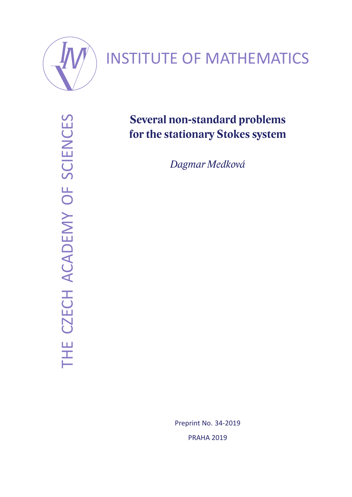

# INSTITUTE OF MATHEMATICS

THE CZECH ACADEMY OF SCIENCES THE CZECH ACADEMY OF SCIENCES

# **Several non-standard problems for the stationary Stokes system**

*Dagmar Medková*

Preprint No. 34-2019 PRAHA 2019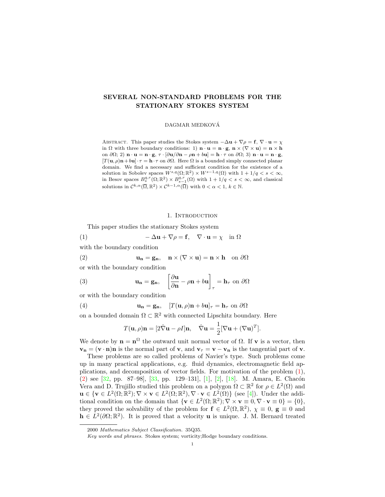# SEVERAL NON-STANDARD PROBLEMS FOR THE STATIONARY STOKES SYSTEM

DAGMAR MEDKOVA´

ABSTRACT. This paper studies the Stokes system  $-\Delta \mathbf{u} + \nabla \rho = \mathbf{f}, \nabla \cdot \mathbf{u} = \chi$ in  $\Omega$  with three boundary conditions: 1)  $\mathbf{n} \cdot \mathbf{u} = \mathbf{n} \cdot \mathbf{g}$ ,  $\mathbf{n} \times (\nabla \times \mathbf{u}) = \mathbf{n} \times \mathbf{h}$ on  $\partial\Omega$ ; 2)  $\mathbf{n} \cdot \mathbf{u} = \mathbf{n} \cdot \mathbf{g}$ ,  $\tau \cdot [\partial \mathbf{u} / \partial \mathbf{n} - \rho \mathbf{n} + b \mathbf{u}] = \mathbf{h} \cdot \tau$  on  $\partial\Omega$ ; 3)  $\mathbf{n} \cdot \mathbf{u} = \mathbf{n} \cdot \mathbf{g}$ ,  $[T(\mathbf{u}, \rho)\mathbf{n} + b\mathbf{u}] \cdot \tau = \mathbf{h} \cdot \tau$  on  $\partial \Omega$ . Here  $\Omega$  is a bounded simply connected planar domain. We find a necessary and sufficient condition for the existence of a solution in Sobolev spaces  $W^{s,q}(\Omega;\mathbb{R}^2) \times W^{s-1,q}(\Omega)$  with  $1 + 1/q < s < \infty$ , in Besov spaces  $B_s^{q,r}(\Omega;\mathbb{R}^2) \times B_{s-1}^{q,r}(\Omega)$  with  $1 + 1/q < s < \infty$ , and classical solutions in  $\mathcal{C}^{k,\alpha}(\overline{\Omega},\mathbb{R}^2) \times \mathcal{C}^{k-1,\alpha}(\overline{\Omega})$  with  $0 < \alpha < 1, k \in \mathbb{N}$ .

### 1. INTRODUCTION

This paper studies the stationary Stokes system

(1) 
$$
-\Delta \mathbf{u} + \nabla \rho = \mathbf{f}, \quad \nabla \cdot \mathbf{u} = \chi \quad \text{in } \Omega
$$

with the boundary condition

(2) 
$$
\mathbf{u_n} = \mathbf{g_n}, \quad \mathbf{n} \times (\nabla \times \mathbf{u}) = \mathbf{n} \times \mathbf{h} \quad \text{on } \partial \Omega
$$

or with the boundary condition

(3) 
$$
\mathbf{u_n} = \mathbf{g_n}, \quad \left[\frac{\partial \mathbf{u}}{\partial \mathbf{n}} - \rho \mathbf{n} + b \mathbf{u}\right]_{\tau} = \mathbf{h}_{\tau} \text{ on } \partial \Omega
$$

or with the boundary condition

(4) 
$$
\mathbf{u}_{n} = \mathbf{g}_{n}, \quad [T(\mathbf{u}, \rho)\mathbf{n} + b\mathbf{u}]_{\tau} = \mathbf{h}_{\tau} \text{ on } \partial\Omega
$$

on a bounded domain  $\Omega \subset \mathbb{R}^2$  with connected Lipschitz boundary. Here

$$
T(\mathbf{u}, \rho)\mathbf{n} = [2\hat{\nabla}\mathbf{u} - \rho I]\mathbf{n}, \quad \hat{\nabla}\mathbf{u} = \frac{1}{2}[\nabla\mathbf{u} + (\nabla\mathbf{u})^T].
$$

We denote by  $\mathbf{n} = \mathbf{n}^{\Omega}$  the outward unit normal vector of  $\Omega$ . If **v** is a vector, then  $v_n = (v \cdot n)n$  is the normal part of v, and  $v_\tau = v - v_n$  is the tangential part of v.

These problems are so called problems of Navier's type. Such problems come up in many practical applications, e.g. fluid dynamics, electromagnetic field applications, and decomposition of vector fields. For motivation of the problem (1), (2) see [32, pp. 87–98], [33, pp. 129–131], [1], [2], [18]. M. Amara, E. Chacón Vera and D. Trujillo studied this problem on a polygon  $\Omega \subset \mathbb{R}^2$  for  $\rho \in L^2(\Omega)$  and  $\mathbf{u} \in {\mathbf{v} \in L^2(\Omega;\mathbb{R}^2); \nabla \times \mathbf{v} \in L^2(\Omega;\mathbb{R}^2), \nabla \cdot \mathbf{v} \in L^2(\Omega)}$  (see [4]). Under the additional condition on the domain that  $\{ \mathbf{v} \in L^2(\Omega;\mathbb{R}^2) ; \nabla \times \mathbf{v} \equiv 0, \nabla \cdot \mathbf{v} \equiv 0 \} = \{0\},\$ they proved the solvability of the problem for  $f \in L^2(\Omega, \mathbb{R}^2)$ ,  $\chi \equiv 0$ ,  $g \equiv 0$  and  $h \in L^2(\partial\Omega;\mathbb{R}^2)$ . It is proved that a velocity **u** is unique. J. M. Bernard treated

<sup>2000</sup> Mathematics Subject Classification. 35Q35.

Key words and phrases. Stokes system; vorticity;Hodge boundary conditions.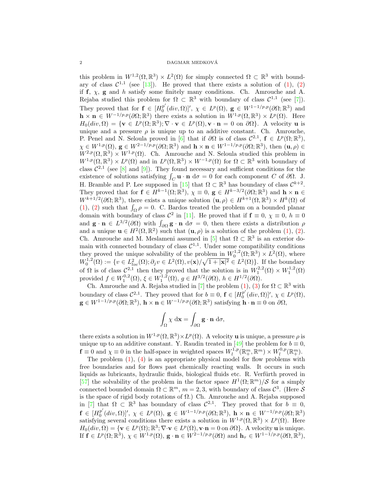# $$\rm \,DAGMAR$  MEDKOVÁ

this problem in  $W^{1,2}(\Omega,\mathbb{R}^3) \times L^2(\Omega)$  for simply connected  $\Omega \subset \mathbb{R}^3$  with boundary of class  $\mathcal{C}^{1,1}$  (see [13]). He proved that there exists a solution of (1), (2) if  $f, \chi$ ,  $g$  and h satisfy some finitely many conditions. Ch. Amrouche and A. Rejaba studied this problem for  $\Omega \subset \mathbb{R}^3$  with boundary of class  $\mathcal{C}^{1,1}$  (see [7]). They proved that for  $f \in [H_0^{p'}]$  $\int_0^{p'}(div,\Omega)$ '',  $\chi \in L^p(\Omega)$ ,  $\mathbf{g} \in W^{1-1/p,p}(\partial\Omega;\mathbb{R}^3)$  and  $\mathbf{h} \times \mathbf{n} \in W^{-1/p,p}(\partial\Omega;\mathbb{R}^3)$  there exists a solution in  $W^{1,p}(\Omega,\mathbb{R}^3) \times L^p(\Omega)$ . Here  $H_0(div, \Omega) = \{ \mathbf{v} \in L^p(\Omega;\mathbb{R}^3); \nabla \cdot \mathbf{v} \in L^p(\Omega), \mathbf{v} \cdot \mathbf{n} = 0 \text{ on } \partial \Omega \}.$  A velocity **u** is unique and a pressure  $\rho$  is unique up to an additive constant. Ch. Amrouche, P. Penel and N. Seloula proved in [6] that if  $\partial\Omega$  is of class  $\mathcal{C}^{2,1}$ ,  $\mathbf{f} \in L^p(\Omega;\mathbb{R}^3)$ ,  $\chi \in W^{1,p}(\Omega)$ ,  $\mathbf{g} \in W^{2-1/p,p}(\partial\Omega;\mathbb{R}^3)$  and  $\mathbf{h}\times\mathbf{n} \in W^{1-1/p,p}(\partial\Omega;\mathbb{R}^3)$ , then  $(\mathbf{u},\rho) \in$  $W^{2,p}(\Omega,\mathbb{R}^3) \times W^{1,p}(\Omega)$ . Ch. Amrouche and N. Seloula studied this problem in  $W^{1,p}(\Omega,\mathbb{R}^3)\times L^p(\Omega)$  and in  $L^p(\Omega,\mathbb{R}^3)\times W^{-1,p}(\Omega)$  for  $\Omega\subset\mathbb{R}^3$  with boundary of class  $\mathcal{C}^{2,1}$  (see [8] and [9]). They found necessary and sufficient conditions for the existence of solutions satisfying  $\int_C \mathbf{u} \cdot \mathbf{n} d\sigma = 0$  for each component C of  $\partial\Omega$ . J. H. Bramble and P. Lee supposed in [15] that  $\Omega \subset \mathbb{R}^3$  has boundary of class  $\mathcal{C}^{k+2}$ . They proved that for  $f \in H^{k-1}(\Omega;\mathbb{R}^3)$ ,  $\chi \equiv 0$ ,  $g \in H^{k-3/2}(\partial\Omega;\mathbb{R}^3)$  and  $\mathbf{h} \times \mathbf{n} \in$  $W^{k+1/2}(\partial\Omega;\mathbb{R}^3)$ , there exists a unique solution  $(\mathbf{u},\rho)\in H^{k+1}(\Omega,\mathbb{R}^3)\times H^k(\Omega)$  of (1), (2) such that  $\int_{\Omega} \rho = 0$ . C. Bardos treated the problem on a bounded planar domain with boundary of class  $\mathcal{C}^2$  in [11]. He proved that if  $\mathbf{f} \equiv 0$ ,  $\chi \equiv 0$ ,  $h \equiv 0$ and  $\mathbf{g} \cdot \mathbf{n} \in L^{3/2}(\partial \Omega)$  with  $\int_{\partial \Omega} \mathbf{g} \cdot \mathbf{n} d\sigma = 0$ , then there exists a distribution  $\rho$ and a unique  $\mathbf{u} \in H^2(\Omega, \mathbb{R}^2)$  such that  $(\mathbf{u}, \rho)$  is a solution of the problem (1), (2). Ch. Amrouche and M. Meslameni assumed in [5] that  $\Omega \subset \mathbb{R}^3$  is an exterior domain with connected boundary of class  $C^{1,1}$ . Under some compatibility conditions they proved the unique solvability of the problem in  $W_0^{1,2}(\Omega;\mathbb{R}^3) \times L^2(\Omega)$ , where  $W_0^{1,2}(\Omega) := \{v \in L^2_{loc}(\Omega); \partial_j v \in L^2(\Omega), v(\mathbf{x})/\sqrt{1+|\mathbf{x}|^2} \in L^2(\Omega)\}.$  If the boundary of  $\Omega$  is of class  $\mathcal{C}^{2,1}$  then they proved that the solution is in  $W_1^{2,2}(\Omega) \times W_1^{1,2}(\Omega)$ provided  $f \in W_1^{0,2}(\Omega)$ ,  $\xi \in W_1^{1,2}(\Omega)$ ,  $g \in H^{3/2}(\partial \Omega)$ ,  $h \in H^{1/2}(\partial \Omega)$ .

Ch. Amrouche and A. Rejaba studied in [7] the problem  $(1)$ ,  $(3)$  for  $\Omega \subset \mathbb{R}^3$  with boundary of class  $C^{2,1}$ . They proved that for  $b \equiv 0$ ,  $\mathbf{f} \in [H_0^{p'}(div,\Omega)]'$ ,  $\chi \in L^p(\Omega)$ ,  $\mathbf{g} \in W^{1-1/p,p}(\partial\Omega;\mathbb{R}^3), \, \mathbf{h} \times \mathbf{n} \in W^{-1/p,p}(\partial\Omega;\mathbb{R}^3)$  satisfying  $\mathbf{h} \cdot \mathbf{n} \equiv 0$  on  $\partial\Omega$ ,

$$
\int_{\Omega} \chi \, \mathrm{d} \mathbf{x} = \int_{\partial \Omega} \mathbf{g} \cdot \mathbf{n} \, \mathrm{d} \sigma,
$$

there exists a solution in  $W^{1,p}(\Omega,\mathbb{R}^3)\times L^p(\Omega)$ . A velocity **u** is unique, a pressure  $\rho$  is unique up to an additive constant. Y. Raudin treated in [49] the problem for  $b \equiv 0$ ,  $\mathbf{f} \equiv 0$  and  $\chi \equiv 0$  in the half-space in weighted spaces  $W_l^{1,p}(\mathbb{R}^m_+, \mathbb{R}^m) \times W_l^{0,p}(\mathbb{R}^m_+).$ 

The problem  $(1)$ ,  $(4)$  is an appropriate physical model for flow problems with free boundaries and for flows past chemically reacting walls. It occurs in such liquids as lubricants, hydraulic fluids, biological fluids etc. R. Verfürth proved in [57] the solvability of the problem in the factor space  $H^1(\Omega;\mathbb{R}^m)/\mathcal{S}$  for a simply connected bounded domain  $\Omega \subset \mathbb{R}^m$ ,  $m = 2, 3$ , with boundary of class  $\mathcal{C}^3$ . (Here S is the space of rigid body rotations of  $\Omega$ .) Ch. Amrouche and A. Rejaba supposed in [7] that  $\Omega \subset \mathbb{R}^3$  has boundary of class  $\mathcal{C}^{2,1}$ . They proved that for  $b \equiv 0$ ,  $\mathbf{f} \in [H^{p'}_0]$  $\mathcal{L}_{0}^{p'}(div,\Omega)$ ]',  $\chi \in L^{p}(\Omega)$ ,  $\mathbf{g} \in W^{1-1/p,p}(\partial\Omega;\mathbb{R}^{3})$ ,  $\mathbf{h} \times \mathbf{n} \in W^{-1/p,p}(\partial\Omega;\mathbb{R}^{3})$ satisfying several conditions there exists a solution in  $W^{1,p}(\Omega,\mathbb{R}^3) \times L^p(\Omega)$ . Here  $H_0(div, \Omega) = \{ \mathbf{v} \in L^p(\Omega); \mathbb{R}^3; \nabla \cdot \mathbf{v} \in L^p(\Omega), \mathbf{v} \cdot \mathbf{n} = 0 \text{ on } \partial \Omega \}.$  A velocity **u** is unique. If  $f \in L^p(\Omega;\mathbb{R}^3), \ \chi \in W^{1,p}(\Omega), \ \mathbf{g} \cdot \mathbf{n} \in W^{2-1/p,p}(\partial \Omega) \text{ and } \mathbf{h}_\tau \in W^{1-1/p,p}(\partial \Omega,\mathbb{R}^3),$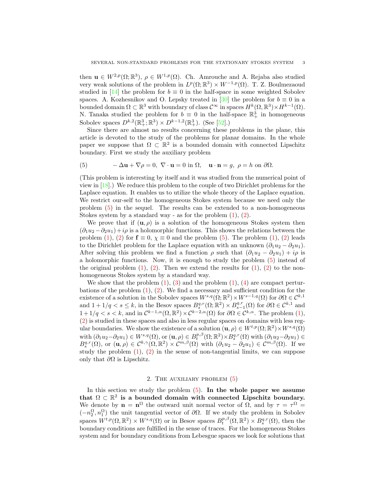then  $\mathbf{u} \in W^{2,p}(\Omega;\mathbb{R}^3)$ ,  $\rho \in W^{1,p}(\Omega)$ . Ch. Amrouche and A. Rejaba also studied very weak solutions of the problem in  $L^p(\Omega;\mathbb{R}^3) \times W^{-1,p}(\Omega)$ . T. Z. Boulmezaoud studied in [14] the problem for  $b \equiv 0$  in the half-space in some weighted Sobolev spaces. A. Kozhesnikov and O. Lepsky treated in [30] the problem for  $b \equiv 0$  in a bounded domain  $\Omega \subset \mathbb{R}^3$  with boundary of class  $\mathcal{C}^{\infty}$  in spaces  $H^k(\Omega, \mathbb{R}^3) \times H^{k-1}(\Omega)$ . N. Tanaka studied the problem for  $b \equiv 0$  in the half-space  $\mathbb{R}^3_+$  in homogeneous Sobolev spaces  $D^{k,2}(\mathbb{R}^3_+;\mathbb{R}^3) \times D^{k-1,2}(\mathbb{R}^3_+)$ . (See [52].)

Since there are almost no results concerning these problems in the plane, this article is devoted to the study of the problems for planar domains. In the whole paper we suppose that  $\Omega \subset \mathbb{R}^2$  is a bounded domain with connected Lipschitz boundary. First we study the auxiliary problem

(5) 
$$
-\Delta \mathbf{u} + \nabla \rho = 0, \ \nabla \cdot \mathbf{u} = 0 \text{ in } \Omega, \ \mathbf{u} \cdot \mathbf{n} = g, \ \rho = h \text{ on } \partial \Omega.
$$

(This problem is interesting by itself and it was studied from the numerical point of view in [18].) We reduce this problem to the couple of two Dirichlet problems for the Laplace equation. It enables us to utilize the whole theory of the Laplace equation. We restrict our-self to the homogeneous Stokes system because we need only the problem (5) in the sequel. The results can be extended to a non-homogeneous Stokes system by a standard way - as for the problem  $(1)$ ,  $(2)$ .

We prove that if  $(u, \rho)$  is a solution of the homogeneous Stokes system then  $(\partial_1 u_2 - \partial_2 u_1) + i\rho$  is a holomorphic functions. This shows the relations between the problem (1), (2) for  $\mathbf{f} \equiv 0$ ,  $\chi \equiv 0$  and the problem (5). The problem (1), (2) leads to the Dirichlet problem for the Laplace equation with an unknown  $(\partial_1u_2 - \partial_2u_1)$ . After solving this problem we find a function  $\rho$  such that  $(\partial_1u_2 - \partial_2u_1) + i\rho$  is a holomorphic functions. Now, it is enough to study the problem (5) instead of the original problem  $(1)$ ,  $(2)$ . Then we extend the results for  $(1)$ ,  $(2)$  to the nonhomogeneous Stokes system by a standard way.

We show that the problem  $(1)$ ,  $(3)$  and the problem  $(1)$ ,  $(4)$  are compact perturbations of the problem  $(1)$ ,  $(2)$ . We find a necessary and sufficient condition for the existence of a solution in the Sobolev spaces  $W^{s,q}(\Omega;\mathbb{R}^2)\times W^{s-1,q}(\Omega)$  for  $\partial\Omega\in\mathcal{C}^{k,1}$ and  $1+1/q < s \leq k$ , in the Besov spaces  $B_s^{q,r}(\Omega; \mathbb{R}^2) \times B_{s-1}^{q,r}(\Omega)$  for  $\partial \Omega \in \mathcal{C}^{k,1}$  and  $1+1/q < s < k$ , and in  $\mathcal{C}^{k-1,\alpha}(\Omega,\mathbb{R}^2) \times \mathcal{C}^{k-2,\alpha}(\Omega)$  for  $\partial \Omega \in \mathcal{C}^{k,\alpha}$ . The problem  $(1)$ , (2) is studied in these spaces and also in less regular spaces on domains with less regular boundaries. We show the existence of a solution  $(\mathbf{u}, \rho) \in W^{t,p}(\Omega; \mathbb{R}^2) \times W^{s,q}(\Omega)$ with  $(\partial_1 u_2 - \partial_2 u_1) \in W^{s,q}(\Omega)$ , or  $(\mathbf{u}, \rho) \in B_t^{p,\beta}(\Omega;\mathbb{R}^2) \times B_s^{q,r}(\Omega)$  with  $(\partial_1 u_2 - \partial_2 u_1) \in$  $B_s^{q,r}(\Omega)$ , or  $(\mathbf{u}, \rho) \in C^{k,\gamma}(\Omega, \mathbb{R}^2) \times C^{m,\beta}(\Omega)$  with  $(\partial_1 u_2 - \partial_2 u_1) \in C^{m,\beta}(\Omega)$ . If we study the problem  $(1)$ ,  $(2)$  in the sense of non-tangential limits, we can suppose only that  $\partial\Omega$  is Lipschitz.

# 2. The auxiliary problem (5)

In this section we study the problem  $(5)$ . In the whole paper we assume that  $\Omega \subset \mathbb{R}^2$  is a bounded domain with connected Lipschitz boundary. We denote by  $\mathbf{n} = \mathbf{n}^{\Omega}$  the outward unit normal vector of  $\Omega$ , and by  $\tau = \tau^{\Omega} =$  $(-n_2^{\Omega}, n_1^{\Omega})$  the unit tangential vector of  $\partial\Omega$ . If we study the problem in Sobolev spaces  $W^{t,p}(\Omega,\mathbb{R}^2) \times W^{s,q}(\Omega)$  or in Besov spaces  $B_t^{p,\beta}(\Omega,\mathbb{R}^2) \times B_s^{q,r}(\Omega)$ , then the boundary conditions are fulfilled in the sense of traces. For the homogeneous Stokes system and for boundary conditions from Lebesgue spaces we look for solutions that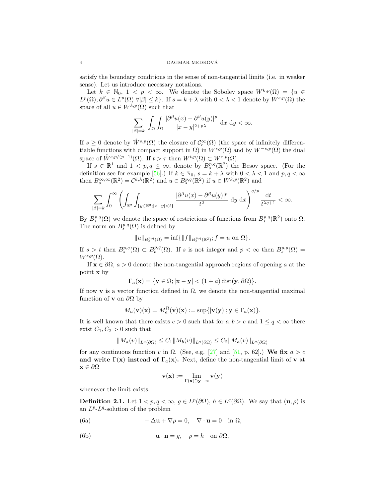satisfy the boundary conditions in the sense of non-tangential limits (i.e. in weaker sense). Let us introduce necessary notations.

Let  $k \in \mathbb{N}_0$ ,  $1 < p < \infty$ . We denote the Sobolev space  $W^{k,p}(\Omega) = \{u \in$  $L^p(\Omega)$ ;  $\partial^\beta u \in L^p(\Omega)$   $\forall |\beta| \leq k$ . If  $s = k + \lambda$  with  $0 < \lambda < 1$  denote by  $W^{s,p}(\Omega)$  the space of all  $u \in W^{k,p}(\Omega)$  such that

$$
\sum_{|\beta|=k} \int_{\Omega} \int_{\Omega} \frac{|\partial^{\beta} u(x) - \partial^{\beta} u(y)|^p}{|x - y|^{2+p\lambda}} \, \, \mathrm{d}x \, \, \mathrm{d}y < \infty.
$$

If  $s \geq 0$  denote by  $\mathring{W}^{s,p}(\Omega)$  the closure of  $\mathcal{C}_c^{\infty}(\Omega)$  (the space of infinitely differentiable functions with compact support in  $\Omega$ ) in  $W^{s,p}(\Omega)$  and by  $W^{-s,p}(\Omega)$  the dual space of  $\mathring{W}^{s,p/(p-1)}(\Omega)$ . If  $t > \tau$  then  $W^{t,p}(\Omega) \subset W^{\tau,p}(\Omega)$ .

If  $s \in \mathbb{R}^1$  and  $1 < p, q \leq \infty$ , denote by  $B_s^{p,q}(\mathbb{R}^2)$  the Besov space. (For the definition see for example [56].) If  $k \in \mathbb{N}_0$ ,  $s = k + \lambda$  with  $0 < \lambda < 1$  and  $p, q < \infty$ then  $B_s^{\infty,\infty}(\mathbb{R}^2) = C^{k,\lambda}(\mathbb{R}^2)$  and  $u \in B_s^{p,q}(\mathbb{R}^2)$  if  $u \in W^{k,p}(\mathbb{R}^2)$  and

$$
\sum_{|\beta|=k}\int_0^\infty \left(\int_{\mathbb{R}^2}\int_{\{y\in\mathbb{R}^3;|x-y|
$$

By  $B_s^{p,q}(\Omega)$  we denote the space of restrictions of functions from  $B_s^{p,q}(\mathbb{R}^2)$  onto  $\Omega$ . The norm on  $B_s^{p,q}(\Omega)$  is defined by

$$
||u||_{B_s^{p,q}(\Omega)} = \inf \{ ||f||_{B_s^{p,q}(\mathbb{R}^2)}; f = u \text{ on } \Omega \}.
$$

If  $s > t$  then  $B_s^{p,q}(\Omega) \subset B_t^{p,q}(\Omega)$ . If s is not integer and  $p < \infty$  then  $B_s^{p,p}(\Omega) =$  $W^{s,p}(\Omega)$ .

If  $\mathbf{x} \in \partial \Omega$ ,  $a > 0$  denote the non-tangential approach regions of opening a at the point x by

$$
\Gamma_a(\mathbf{x}) = \{ \mathbf{y} \in \Omega; |\mathbf{x} - \mathbf{y}| < (1 + a) \operatorname{dist}(\mathbf{y}, \partial \Omega) \}.
$$

If now v is a vector function defined in  $\Omega$ , we denote the non-tangential maximal function of **v** on  $\partial\Omega$  by

$$
M_a(\mathbf{v})(\mathbf{x}) = M_a^{\Omega}(\mathbf{v})(\mathbf{x}) := \sup\{|\mathbf{v}(\mathbf{y})|; \mathbf{y} \in \Gamma_a(\mathbf{x})\}.
$$

It is well known that there exists  $c > 0$  such that for  $a, b > c$  and  $1 \le q < \infty$  there exist  $C_1, C_2 > 0$  such that

$$
||M_a(v)||_{L^q(\partial\Omega)} \leq C_1 ||M_b(v)||_{L^q(\partial\Omega)} \leq C_2 ||M_a(v)||_{L^q(\partial\Omega)}
$$

for any continuous function v in  $\Omega$ . (See, e.g. [27] and [51, p. 62].) We fix  $a > c$ and write  $\Gamma(\mathbf{x})$  instead of  $\Gamma_a(\mathbf{x})$ . Next, define the non-tangential limit of v at  $\mathbf{x} \in \partial \Omega$ 

$$
\mathbf{v}(\mathbf{x}) := \lim_{\Gamma(\mathbf{x}) \ni \mathbf{y} \to \mathbf{x}} \mathbf{v}(\mathbf{y})
$$

whenever the limit exists.

**Definition 2.1.** Let  $1 < p, q < \infty$ ,  $g \in L^p(\partial\Omega)$ ,  $h \in L^q(\partial\Omega)$ . We say that  $(\mathbf{u}, \rho)$  is an  $L^p$ - $L^q$ -solution of the problem

(6a) 
$$
-\Delta \mathbf{u} + \nabla \rho = 0, \quad \nabla \cdot \mathbf{u} = 0 \quad \text{in } \Omega,
$$

(6b) 
$$
\mathbf{u} \cdot \mathbf{n} = g, \quad \rho = h \quad \text{on } \partial \Omega,
$$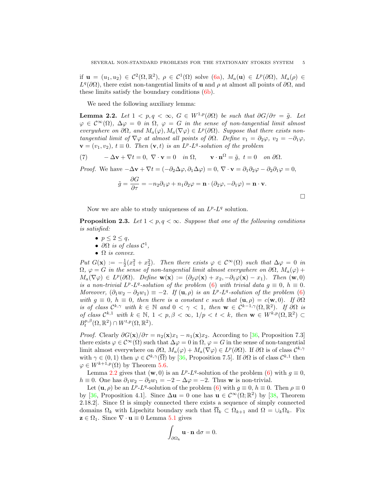if  $\mathbf{u} = (u_1, u_2) \in C^2(\Omega, \mathbb{R}^2)$ ,  $\rho \in C^1(\Omega)$  solve (6a),  $M_a(\mathbf{u}) \in L^p(\partial\Omega)$ ,  $M_a(\rho) \in$  $L^{q}(\partial\Omega)$ , there exist non-tangential limits of **u** and  $\rho$  at almost all points of  $\partial\Omega$ , and these limits satisfy the boundary conditions (6b).

We need the following auxiliary lemma:

**Lemma 2.2.** Let  $1 < p, q < \infty$ , G ∈ W<sup>1,p</sup>( $\partial\Omega$ ) be such that  $\partial G/\partial \tau = \tilde{g}$ . Let  $\varphi \in C^{\infty}(\Omega)$ ,  $\Delta \varphi = 0$  in  $\Omega$ ,  $\varphi = G$  in the sense of non-tangential limit almost everywhere on  $\partial\Omega$ , and  $M_a(\varphi), M_a(\nabla \varphi) \in L^p(\partial\Omega)$ . Suppose that there exists nontangential limit of  $\nabla \varphi$  at almost all points of  $\partial \Omega$ . Define  $v_1 = \partial_2 \varphi$ ,  $v_2 = -\partial_1 \varphi$ ,  $\mathbf{v} = (v_1, v_2), t \equiv 0$ . Then  $(\mathbf{v}, t)$  is an  $L^p$ - $L^q$ -solution of the problem

(7) 
$$
-\Delta \mathbf{v} + \nabla t = 0, \ \nabla \cdot \mathbf{v} = 0 \quad in \ \Omega, \qquad \mathbf{v} \cdot \mathbf{n}^{\Omega} = \tilde{g}, \ t = 0 \quad on \ \partial \Omega.
$$

*Proof.* We have  $-\Delta \mathbf{v} + \nabla t = (-\partial_2 \Delta \varphi, \partial_1 \Delta \varphi) = 0$ ,  $\nabla \cdot \mathbf{v} = \partial_1 \partial_2 \varphi - \partial_2 \partial_1 \varphi = 0$ ,

$$
\tilde{g} = \frac{\partial G}{\partial \tau} = -n_2 \partial_1 \varphi + n_1 \partial_2 \varphi = \mathbf{n} \cdot (\partial_2 \varphi, -\partial_1 \varphi) = \mathbf{n} \cdot \mathbf{v}.
$$

Now we are able to study uniqueness of an  $L^p$ - $L^q$  solution.

**Proposition 2.3.** Let  $1 < p, q < \infty$ . Suppose that one of the following conditions is satisfied:

- $p \leq 2 \leq q$ ,
- $\partial\Omega$  is of class  $\mathcal{C}^1$ ,
- $\Omega$  is convex.

Put  $G(\mathbf{x}) := -\frac{1}{2}(x_1^2 + x_2^2)$ . Then there exists  $\varphi \in C^{\infty}(\Omega)$  such that  $\Delta \varphi = 0$  in  $\Omega$ ,  $\varphi = G$  in the sense of non-tangential limit almost everywhere on  $\partial\Omega$ ,  $M_a(\varphi)$  +  $M_a(\nabla \varphi) \in L^p(\partial \Omega)$ . Define  $\mathbf{w}(\mathbf{x}) := (\partial_2 \varphi(\mathbf{x}) + x_2, -\partial_1 \varphi(\mathbf{x}) - x_1)$ . Then  $(\mathbf{w}, 0)$ is a non-trivial  $L^p$ - $L^q$ -solution of the problem (6) with trivial data  $g \equiv 0$ ,  $h \equiv 0$ . Moreover,  $(\partial_1 w_2 - \partial_2 w_1) \equiv -2$ . If  $(\mathbf{u}, \rho)$  is an  $L^p$ - $L^q$ -solution of the problem (6) with  $g \equiv 0$ ,  $h \equiv 0$ , then there is a constant c such that  $(\mathbf{u}, \rho) = c(\mathbf{w}, 0)$ . If  $\partial \Omega$ is of class  $\mathcal{C}^{k,\gamma}$  with  $k \in \mathbb{N}$  and  $0 < \gamma < 1$ , then  $\mathbf{w} \in \mathcal{C}^{k-1,\gamma}(\Omega,\mathbb{R}^2)$ . If  $\partial\Omega$  is of class  $\mathcal{C}^{k,1}$  with  $k \in \mathbb{N}, 1 \lt p, \beta \lt \infty, 1/p \lt t \lt k$ , then  $\mathbf{w} \in W^{k,p}(\Omega,\mathbb{R}^2)$  $B_t^{p,\beta}(\Omega,\mathbb{R}^2)\cap W^{t,p}(\Omega,\mathbb{R}^2).$ 

*Proof.* Clearly  $\partial G(\mathbf{x})/\partial \tau = n_2(\mathbf{x})x_1 - n_1(\mathbf{x})x_2$ . According to [36, Proposition 7.3] there exists  $\varphi \in \mathcal{C}^{\infty}(\Omega)$  such that  $\Delta \varphi = 0$  in  $\Omega$ ,  $\varphi = G$  in the sense of non-tangential limit almost everywhere on  $\partial\Omega$ ,  $M_a(\varphi) + M_a(\nabla\varphi) \in L^p(\partial\Omega)$ . If  $\partial\Omega$  is of class  $\mathcal{C}^{k,\gamma}$ with  $\gamma \in (0,1)$  then  $\varphi \in C^{k,\gamma}(\overline{\Omega})$  by [36, Proposition 7.5]. If  $\partial\Omega$  is of class  $C^{k,1}$  then  $\varphi \in W^{k+1,p}(\Omega)$  by Theorem 5.6.

Lemma 2.2 gives that  $(\mathbf{w}, 0)$  is an  $L^p L^q$ -solution of the problem  $(6)$  with  $g \equiv 0$ ,  $h \equiv 0$ . One has  $\partial_1 w_2 - \partial_2 w_1 = -2 - \Delta \varphi = -2$ . Thus w is non-trivial.

Let  $(\mathbf{u}, \rho)$  be an  $L^p L^q$ -solution of the problem (6) with  $g \equiv 0$ ,  $h \equiv 0$ . Then  $\rho \equiv 0$ by [36, Proposition 4.1]. Since  $\Delta u = 0$  one has  $u \in C^{\infty}(\Omega;\mathbb{R}^2)$  by [38, Theorem 2.18.2]. Since  $\Omega$  is simply connected there exists a sequence of simply connected domains  $\Omega_k$  with Lipschitz boundary such that  $\overline{\Omega}_k \subset \Omega_{k+1}$  and  $\Omega = \cup_k \Omega_k$ . Fix  $\mathbf{z} \in \Omega_1$ . Since  $\nabla \cdot \mathbf{u} \equiv 0$  Lemma 5.1 gives

$$
\int_{\partial\Omega_k} \mathbf{u} \cdot \mathbf{n} \, d\sigma = 0.
$$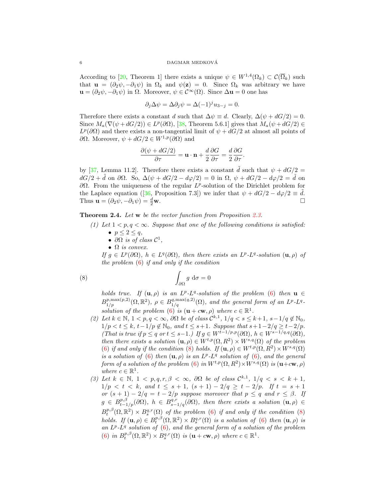#### $\begin{array}{lll} \text{DAGMAR} & \text{MEDKOVÁ} \end{array}$

According to [20, Theorem 1] there exists a unique  $\psi \in W^{1,4}(\Omega_k) \subset \mathcal{C}(\overline{\Omega}_k)$  such that  $\mathbf{u} = (\partial_2 \psi, -\partial_1 \psi)$  in  $\Omega_k$  and  $\psi(\mathbf{z}) = 0$ . Since  $\Omega_k$  was arbitrary we have  $\mathbf{u} = (\partial_2 \psi, -\partial_1 \psi)$  in  $\Omega$ . Moreover,  $\psi \in C^{\infty}(\Omega)$ . Since  $\Delta \mathbf{u} = 0$  one has

$$
\partial_j \Delta \psi = \Delta \partial_j \psi = \Delta (-1)^j u_{3-j} = 0.
$$

Therefore there exists a constant d such that  $\Delta \psi \equiv d$ . Clearly,  $\Delta(\psi + dG/2) = 0$ . Since  $M_a(\nabla(\psi + dG/2)) \in L^p(\partial\Omega)$ , [38, Theorem 5.6.1] gives that  $M_a(\psi + dG/2) \in$  $L^p(\partial\Omega)$  and there exists a non-tangential limit of  $\psi + dG/2$  at almost all points of ∂Ω. Moreover,  $ψ + dG/2 ∈ W<sup>1,p</sup>(∂Ω)$  and

$$
\frac{\partial(\psi + dG/2)}{\partial \tau} = \mathbf{u} \cdot \mathbf{n} + \frac{d}{2} \frac{\partial G}{\partial \tau} = \frac{d}{2} \frac{\partial G}{\partial \tau}.
$$

by [37, Lemma 11.2]. Therefore there exists a constant  $\ddot{d}$  such that  $\psi + dG/2 =$  $dG/2 + \tilde{d}$  on  $\partial\Omega$ . So,  $\Delta(\psi + dG/2 - d\varphi/2) = 0$  in  $\Omega$ ,  $\psi + dG/2 - d\varphi/2 = \tilde{d}$  on  $\partial Ω$ . From the uniqueness of the regular  $L^p$ -solution of the Dirichlet problem for the Laplace equation ([36, Proposition 7.3]) we infer that  $\psi + dG/2 - d\varphi/2 \equiv d$ . Thus  $\mathbf{u} = (\partial_2 \psi, -\partial_1 \psi) = \frac{d}{2} \mathbf{w}$ .  $\frac{d}{2}$ w.

Theorem 2.4. Let w be the vector function from Proposition 2.3.

- (1) Let  $1 < p, q < \infty$ . Suppose that one of the following conditions is satisfied: •  $p \leq 2 \leq q$ ,
	-
	- $\partial\Omega$  is of class  $\mathcal{C}^1$ ,
	- $\Omega$  is convex.

If  $g \in L^p(\partial\Omega)$ ,  $h \in L^q(\partial\Omega)$ , then there exists an  $L^p$ - $L^q$ -solution  $(\mathbf{u}, \rho)$  of the problem  $(6)$  if and only if the condition

(8) 
$$
\int_{\partial\Omega} g \, d\sigma = 0
$$

holds true. If  $(\mathbf{u}, \rho)$  is an  $L^p$ - $L^q$ -solution of the problem (6) then  $\mathbf{u} \in$  $B^{p,\max(p,2)}_{1/p}(\Omega,\mathbb{R}^2), \ \rho \in B^{q,\max(q,2)}_{1/q}(\Omega), \text{ and the general form of an } L^p \text{-}L^q \text{-}$ solution of the problem  $(6)$  is  $(\mathbf{u} + c\mathbf{w}, \rho)$  where  $c \in \mathbb{R}^1$ .

- (2) Let  $k \in \mathbb{N}$ ,  $1 < p, q < \infty$ ,  $\partial \Omega$  be of class  $\mathcal{C}^{k,1}$ ,  $1/q < s \leq k+1$ ,  $s-1/q \notin \mathbb{N}_0$ ,  $1/p < t \leq k$ ,  $t-1/p \notin \mathbb{N}_0$ , and  $t \leq s+1$ . Suppose that  $s+1-2/q \geq t-2/p$ . (That is true if  $p \le q$  or  $t \le s-1$ .) If  $g \in W^{t-1/p,p}(\partial \Omega)$ ,  $h \in W^{s-1/q,q}(\partial \Omega)$ , then there exists a solution  $(\mathbf{u}, \rho) \in W^{t,p}(\Omega, R^2) \times W^{s,q}(\Omega)$  of the problem (6) if and only if the condition (8) holds. If  $(\mathbf{u}, \rho) \in W^{t,p}(\Omega, R^2) \times W^{s,q}(\Omega)$ is a solution of (6) then  $(\mathbf{u}, \rho)$  is an  $L^p$ - $L^q$  solution of (6), and the general form of a solution of the problem (6) in  $W^{t,p}(\Omega, R^2) \times W^{s,q}(\Omega)$  is  $(\mathbf{u}+c\mathbf{w}, \rho)$ where  $c \in \mathbb{R}^1$ .
- (3) Let  $k \in \mathbb{N}$ ,  $1 < p, q, r, \beta < \infty$ ,  $\partial\Omega$  be of class  $\mathcal{C}^{k,1}$ ,  $1/q < s < k+1$ ,  $1/p < t < k$ , and  $t \leq s+1$ ,  $(s+1) - 2/q \geq t-2/p$ . If  $t = s+1$ or  $(s + 1) - 2/q = t - 2/p$  suppose moreover that  $p \le q$  and  $r \le \beta$ . If  $g \in B_{t-1/p}^{p,\beta}(\partial\Omega), h \in B_{s-1/q}^{q,r}(\partial\Omega)$ , then there exists a solution  $(\mathbf{u}, \rho) \in$  $B_t^{p,\beta}(\Omega,\mathbb{R}^2) \times B_s^{q,r}(\Omega)$  of the problem (6) if and only if the condition (8) holds. If  $(\mathbf{u}, \rho) \in B_t^{p,\beta}(\Omega, \mathbb{R}^2) \times B_s^{q,r}(\Omega)$  is a solution of (6) then  $(\mathbf{u}, \rho)$  is an  $L^p$ - $L^q$  solution of  $(6)$ , and the general form of a solution of the problem (6) in  $B_t^{p,\beta}(\Omega,\mathbb{R}^2)\times B_s^{q,r}(\Omega)$  is  $(\mathbf{u}+c\mathbf{w},\rho)$  where  $c\in\mathbb{R}^1$ .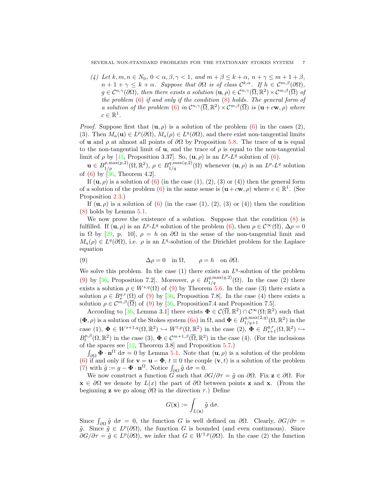(4) Let  $k, m, n \in N_0$ ,  $0 < \alpha, \beta, \gamma < 1$ , and  $m + \beta \leq k + \alpha$ ,  $n + \gamma \leq m + 1 + \beta$ ,  $n+1+\gamma \leq k+\alpha$ . Suppose that  $\partial\Omega$  is of class  $\mathcal{C}^{k,\alpha}$ . If  $h \in \mathcal{C}^{m,\beta}(\partial\Omega)$ ,  $g \in \mathcal{C}^{n,\gamma}(\partial\Omega)$ , then there exists a solution  $(\mathbf{u}, \rho) \in \mathcal{C}^{n,\gamma}(\overline{\Omega}, \mathbb{R}^2) \times \mathcal{C}^{m,\beta}(\overline{\Omega})$  of the problem  $(6)$  if and only if the condition  $(8)$  holds. The general form of a solution of the problem (6) in  $\mathcal{C}^{n,\gamma}(\overline{\Omega},\mathbb{R}^2) \times \mathcal{C}^{m,\beta}(\overline{\Omega})$  is  $(\mathbf{u} + c\mathbf{w},\rho)$  where  $c \in \mathbb{R}^1$ .

*Proof.* Suppose first that  $(\mathbf{u}, \rho)$  is a solution of the problem (6) in the cases (2), (3). Then  $M_a(\mathbf{u}) \in L^p(\partial\Omega)$ ,  $M_a(\rho) \in L^q(\partial\Omega)$ , and there exist non-tangential limits of u and  $\rho$  at almost all points of  $\partial\Omega$  by Proposition 5.8. The trace of u is equal to the non-tangential limit of **u**, and the trace of  $\rho$  is equal to the non-tangential limit of  $\rho$  by [43, Proposition 3.37]. So,  $(\mathbf{u}, \rho)$  is an  $L^{p} \text{-} L^{q}$  solution of (6).

 $\mathbf{u} \in B_{1/p}^{p, \max(p,2)}(\Omega, \mathbb{R}^2), \ \rho \in B_{1/q}^{q, \max(q,2)}(\Omega)$  whenever  $(\mathbf{u}, \rho)$  is an  $L^p L^q$  solution of (6) by [36, Theorem 4.2].

If  $(\mathbf{u}, \rho)$  is a solution of  $(6)$  (in the case  $(1), (2), (3)$  or  $(4)$ ) then the general form of a solution of the problem (6) in the same sense is  $(\mathbf{u} + c\mathbf{w}, \rho)$  where  $c \in \mathbb{R}^1$ . (See Proposition 2.3.)

If  $(\mathbf{u}, \rho)$  is a solution of  $(6)$  (in the case  $(1), (2), (3)$  or  $(4)$ ) then the condition (8) holds by Lemma 5.1.

We now prove the existence of a solution. Suppose that the condition  $(8)$  is fulfilled. If  $(\mathbf{u}, \rho)$  is an  $L^p L^q$  solution of the problem  $(6)$ , then  $\rho \in C^{\infty}(\Omega)$ ,  $\Delta \rho = 0$ in  $\Omega$  by [29, p. 10],  $\rho = h$  on  $\partial\Omega$  in the sense of the non-tangential limit and  $M_a(\rho) \in L^q(\partial\Omega)$ , i.e.  $\rho$  is an  $L^q$ -solution of the Dirichlet problem for the Laplace equation

(9) 
$$
\Delta \rho = 0 \quad \text{in } \Omega, \qquad \rho = h \quad \text{on } \partial \Omega.
$$

We solve this problem. In the case  $(1)$  there exists an  $L<sup>q</sup>$ -solution of the problem (9) by [36, Proposition 7.2]. Moreover,  $\rho \in B_{1/q}^{q, \max(q, 2)}(\Omega)$ . In the case (2) there exists a solution  $\rho \in W^{s,q}(\Omega)$  of (9) by Theorem 5.6. In the case (3) there exists a solution  $\rho \in B_s^{q,r}(\Omega)$  of (9) by [36, Proposition 7.8]. In the case (4) there exists a solution  $\rho \in \mathcal{C}^{m,\beta}(\overline{\Omega})$  of (9) by [36, Proposition 7.4 and Proposition 7.5].

According to [36, Lemma 3.1] there exists  $\Phi \in \mathcal{C}(\overline{\Omega}, \mathbb{R}^2) \cap \mathcal{C}^{\infty}(\Omega; \mathbb{R}^2)$  such that  $(\Phi, \rho)$  is a solution of the Stokes system  $(6a)$  in  $\Omega$ , and  $\Phi \in B_{1/q+1}^{q, \max(2,q)}(\Omega, \mathbb{R}^2)$  in the case (1),  $\Phi \in W^{s+1,q}(\Omega,\mathbb{R}^2) \hookrightarrow W^{t,p}(\Omega,\mathbb{R}^2)$  in the case  $(2), \Phi \in B^{q,r}_{s+1}(\Omega,\mathbb{R}^2) \hookrightarrow$  $B_t^{p,\beta}(\Omega,\mathbb{R}^2)$  in the case (3),  $\Phi \in \mathcal{C}^{m+1,\beta}(\overline{\Omega},\mathbb{R}^2)$  in the case (4). (For the inclusions of the spaces see [12, Theorem 3.8] and Proposition 5.7.)

 $\int_{\partial\Omega} \mathbf{\Phi} \cdot \mathbf{n}^{\Omega} d\sigma = 0$  by Lemma 5.1. Note that  $(\mathbf{u}, \rho)$  is a solution of the problem (6) if and only if for  $\mathbf{v} = \mathbf{u} - \mathbf{\Phi}$ ,  $t \equiv 0$  the couple  $(\mathbf{v}, t)$  is a solution of the problem (7) with  $\tilde{g} := g - \mathbf{\Phi} \cdot \mathbf{n}^{\Omega}$ . Notice  $\int_{\partial \Omega} \tilde{g} d\sigma = 0$ .

We now construct a function G such that  $\partial G/\partial \tau = \tilde{g}$  on  $\partial \Omega$ . Fix  $\mathbf{z} \in \partial \Omega$ . For  $\mathbf{x} \in \partial\Omega$  we denote by  $L(x)$  the part of  $\partial\Omega$  between points z and x. (From the beginning **z** we go along  $\partial\Omega$  in the direction  $\tau$ .) Define

$$
G(\mathbf{x}) := \int_{L(\mathbf{x})} \tilde{g} \, \mathrm{d}\sigma.
$$

Since  $\int_{\partial\Omega}\tilde{g} d\sigma = 0$ , the function G is well defined on  $\partial\Omega$ . Clearly,  $\partial G/\partial \tau =$  $\tilde{g}$ . Since  $\tilde{g} \in L^p(\partial\Omega)$ , the function G is bounded (and even continuous). Since  $\partial G/\partial \tau = \tilde{g} \in L^p(\partial \Omega)$ , we infer that  $G \in W^{1,p}(\partial \Omega)$ . In the case (2) the function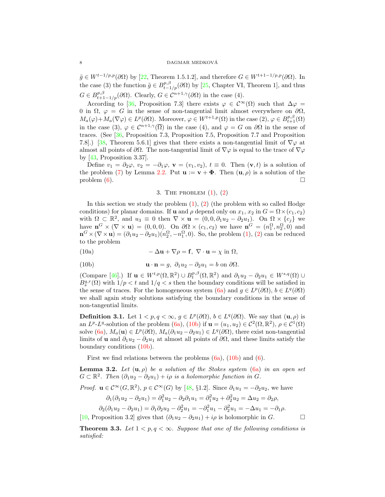$\tilde{g} \in W^{t-1/p,p}(\partial \Omega)$  by [22, Theorem 1.5.1.2], and therefore  $G \in W^{t+1-1/p,p}(\partial \Omega)$ . In the case (3) the function  $\tilde{g} \in B^{p,\beta}_{t-1/p}(\partial \Omega)$  by [25, Chapter VI, Theorem 1], and thus  $G \in B_{t+1-1/p}^{p,\beta}(\partial\Omega)$ . Clearly,  $G \in C^{n+1,\gamma}(\partial\Omega)$  in the case (4).

According to [36, Proposition 7.3] there exists  $\varphi \in C^{\infty}(\Omega)$  such that  $\Delta \varphi =$ 0 in  $\Omega$ ,  $\varphi = G$  in the sense of non-tangential limit almost everywhere on  $\partial\Omega$ ,  $M_a(\varphi) + M_a(\nabla \varphi) \in L^p(\partial \Omega)$ . Moreover,  $\varphi \in W^{t+1,p}(\Omega)$  in the case  $(2), \varphi \in B^{p,\beta}_{t+1}(\Omega)$ in the case (3),  $\varphi \in C^{n+1,\gamma}(\overline{\Omega})$  in the case (4), and  $\varphi = G$  on  $\partial\Omega$  in the sense of traces. (See [36, Proposition 7.3, Proposition 7.5, Proposition 7.7 and Proposition 7.8].) [38, Theorem 5.6.1] gives that there exists a non-tangential limit of  $\nabla\varphi$  at almost all points of  $\partial\Omega$ . The non-tangential limit of  $\nabla\varphi$  is equal to the trace of  $\nabla\varphi$ by  $[43,$  Proposition 3.37.

Define  $v_1 = \partial_2 \varphi$ ,  $v_2 = -\partial_1 \varphi$ ,  $\mathbf{v} = (v_1, v_2)$ ,  $t \equiv 0$ . Then  $(\mathbf{v}, t)$  is a solution of the problem (7) by Lemma 2.2. Put  $\mathbf{u} := \mathbf{v} + \mathbf{\Phi}$ . Then  $(\mathbf{u}, \rho)$  is a solution of the problem  $(6)$ .

# 3. THE PROBLEM  $(1)$ ,  $(2)$

In this section we study the problem  $(1)$ ,  $(2)$  (the problem with so called Hodge conditions) for planar domains. If **u** and  $\rho$  depend only on  $x_1, x_2$  in  $G = \Omega \times (c_1, c_2)$ with  $\Omega \subset \mathbb{R}^2$ , and  $u_3 \equiv 0$  then  $\nabla \times \mathbf{u} = (0,0,\partial_1 u_2 - \partial_2 u_1)$ . On  $\Omega \times \{c_j\}$  we have  $\mathbf{n}^G \times (\nabla \times \mathbf{u}) = (0,0,0)$ . On  $\partial \Omega \times (c_1, c_2)$  we have  $\mathbf{n}^G = (n_1^{\Omega}, n_2^{\Omega}, 0)$  and  $\mathbf{n}^G \times (\nabla \times \mathbf{u}) = (\partial_1 u_2 - \partial_2 u_1)(n_2^{\Omega}, -n_1^{\Omega}, 0)$ . So, the problem  $(1)$ ,  $(2)$  can be reduced to the problem

(10a) 
$$
-\Delta \mathbf{u} + \nabla \rho = \mathbf{f}, \ \nabla \cdot \mathbf{u} = \chi \text{ in } \Omega,
$$

(10b) 
$$
\mathbf{u} \cdot \mathbf{n} = g, \ \partial_1 u_2 - \partial_2 u_1 = b \text{ on } \partial \Omega.
$$

(Compare [46].) If  $\mathbf{u} \in W^{t,p}(\Omega,\mathbb{R}^2) \cup B_t^{p,\beta}(\Omega,\mathbb{R}^2)$  and  $\partial_1 u_2 - \partial_2 u_1 \in W^{s,q}(\Omega) \cup$  $B_s^{q,r}(\Omega)$  with  $1/p < t$  and  $1/q < s$  then the boundary conditions will be satisfied in the sense of traces. For the homogeneous system (6a) and  $g \in L^p(\partial\Omega)$ ,  $b \in L^q(\partial\Omega)$ we shall again study solutions satisfying the boundary conditions in the sense of non-tangential limits.

**Definition 3.1.** Let  $1 < p, q < \infty$ ,  $g \in L^p(\partial\Omega)$ ,  $b \in L^q(\partial\Omega)$ . We say that  $(\mathbf{u}, \rho)$  is an  $L^p$ - $L^q$ -solution of the problem (6a), (10b) if  $\mathbf{u} = (u_1, u_2) \in C^2(\Omega, \mathbb{R}^2)$ ,  $\rho \in C^1(\Omega)$ solve  $(6a)$ ,  $M_a(\mathbf{u}) \in L^p(\partial\Omega)$ ,  $M_a(\partial_1u_2 - \partial_2u_1) \in L^q(\partial\Omega)$ , there exist non-tangential limits of **u** and  $\partial_1 u_2 - \partial_2 u_1$  at almost all points of  $\partial \Omega$ , and these limits satisfy the boundary conditions (10b).

First we find relations between the problems  $(6a)$ ,  $(10b)$  and  $(6)$ .

**Lemma 3.2.** Let  $(\mathbf{u}, \rho)$  be a solution of the Stokes system (6a) in an open set  $G \subset \mathbb{R}^2$ . Then  $(\partial_1 u_2 - \partial_2 u_1) + i\rho$  is a holomorphic function in  $G$ .

*Proof.*  $\mathbf{u} \in C^{\infty}(G, \mathbb{R}^2)$ ,  $p \in C^{\infty}(G)$  by [48, §1.2]. Since  $\partial_1 u_1 = -\partial_2 u_2$ , we have

$$
\partial_1(\partial_1 u_2 - \partial_2 u_1) = \partial_1^2 u_2 - \partial_2 \partial_1 u_1 = \partial_1^2 u_2 + \partial_2^2 u_2 = \Delta u_2 = \partial_2 \rho,
$$

$$
\partial_2(\partial_1 u_2 - \partial_2 u_1) = \partial_1 \partial_2 u_2 - \partial_2^2 u_1 = -\partial_1^2 u_1 - \partial_2^2 u_1 = -\Delta u_1 = -\partial_1 \rho.
$$

[10, Proposition 3.2] gives that  $(\partial_1 u_2 - \partial_2 u_1) + i\rho$  is holomorphic in G.

**Theorem 3.3.** Let  $1 < p, q < \infty$ . Suppose that one of the following conditions is satisfied: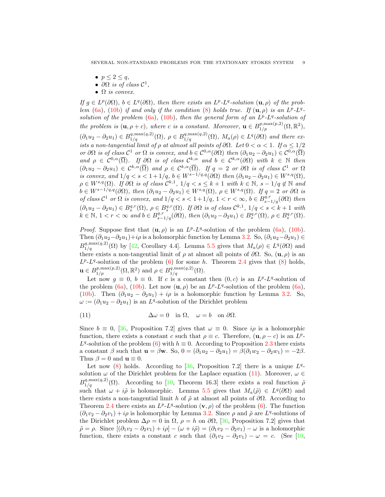- $p \leq 2 \leq q$ ,
- $\partial\Omega$  is of class  $\mathcal{C}^1$ ,
- $\Omega$  is convex.

If  $g \in L^p(\partial\Omega)$ ,  $b \in L^q(\partial\Omega)$ , then there exists an  $L^p$ - $L^q$ -solution  $(\mathbf{u}, \rho)$  of the problem (6a), (10b) if and only if the condition (8) holds true. If  $(\mathbf{u}, \rho)$  is an  $L^p-L^q$ . solution of the problem  $(6a)$ ,  $(10b)$ , then the general form of an  $L^p$ - $L^q$ -solution of the problem is  $(\mathbf{u}, \rho + c)$ , where c is a constant. Moreover,  $\mathbf{u} \in B_{1/p}^{p, \max(p, 2)}(\Omega, \mathbb{R}^2)$ ,  $(\partial_1 u_2 - \partial_2 u_1) \in B_{1/q}^{q, \max(q, 2)}(\Omega), \ \rho \in B_{1/q}^{q, \max(q, 2)}(\Omega), \ M_a(\rho) \in L^q(\partial \Omega)$  and there exists a non-tangential limit of  $\rho$  at almost all points of  $\partial\Omega$ . Let  $0 < \alpha < 1$ . If  $\alpha \leq 1/2$ or  $\partial\Omega$  is of class  $\mathcal{C}^1$  or  $\Omega$  is convex, and  $b \in \mathcal{C}^{0,\alpha}(\partial\Omega)$  then  $(\partial_1u_2 - \partial_2u_1) \in \mathcal{C}^{0,\alpha}(\overline{\Omega})$ and  $\rho \in C^{0,\alpha}(\overline{\Omega})$ . If  $\partial\Omega$  is of class  $C^{k,\alpha}$  and  $b \in C^{k,\alpha}(\partial\Omega)$  with  $k \in \mathbb{N}$  then  $(\partial_1 u_2 - \partial_2 u_1) \in C^{k,\alpha}(\overline{\Omega})$  and  $\rho \in C^{k,\alpha}(\overline{\Omega})$ . If  $q = 2$  or  $\partial\Omega$  is of class  $C^1$  or  $\Omega$ is convex, and  $1/q < s < 1+1/q$ ,  $b \in W^{s-1/q,q}(\partial \Omega)$  then  $(\partial_1 u_2 - \partial_2 u_1) \in W^{s,q}(\Omega)$ ,  $\rho \in W^{s,q}(\Omega)$ . If  $\partial \Omega$  is of class  $\mathcal{C}^{k,1}$ ,  $1/q < s \leq k+1$  with  $k \in \mathbb{N}$ ,  $s-1/q \notin \mathbb{N}$  and  $b \in W^{s-1/q,q}(\partial \Omega)$ , then  $(\partial_1 u_2 - \partial_2 u_1) \in W^{s,q}(\Omega)$ ,  $\rho \in W^{s,q}(\Omega)$ . If  $q = 2$  or  $\partial \Omega$  is of class  $C^1$  or  $\Omega$  is convex, and  $1/q < s < 1+1/q$ ,  $1 < r < \infty$ ,  $b \in B^{q,r}_{s-1/q}(\partial \Omega)$  then  $(\partial_1 u_2 - \partial_2 u_1) \in B_s^{q,r}(\Omega)$ ,  $\rho \in B_s^{q,r}(\Omega)$ . If  $\partial \Omega$  is of class  $\mathcal{C}^{k,1}$ ,  $1/q < s < k+1$  with  $k \in \mathbb{N}, 1 < r < \infty$  and  $b \in B^{q,r}_{s-1/q}(\partial \Omega)$ , then  $(\partial_1 u_2 - \partial_2 u_1) \in B^{q,r}_{s}(\Omega)$ ,  $\rho \in B^{q,r}_{s}(\Omega)$ .

*Proof.* Suppose first that  $(\mathbf{u}, \rho)$  is an  $L^p L^q$ -solution of the problem (6a), (10b). Then  $(\partial_1u_2-\partial_2u_1)+i\rho$  is a holomorphic function by Lemma 3.2. So,  $(\partial_1u_2-\partial_2u_1)\in$  $B_{1/q}^{q, \max(q, 2)}(\Omega)$  by [42, Corollary 4.4]. Lemma 5.5 gives that  $M_a(\rho) \in L^q(\partial\Omega)$  and there exists a non-tangential limit of  $\rho$  at almost all points of  $\partial\Omega$ . So,  $(\mathbf{u}, \rho)$  is an  $L^p$ - $L^q$ -solution of the problem (6) for some h. Theorem 2.4 gives that (8) holds,  $\mathbf{u} \in B_{1/p}^{p, \max(p,2)}(\Omega, \mathbb{R}^2)$  and  $\rho \in B_{1/q}^{q, \max(q,2)}(\Omega)$ .

Let now  $g \equiv 0$ ,  $b \equiv 0$ . If c is a constant then  $(0, c)$  is an  $L^p L^q$ -solution of the problem (6a), (10b). Let now  $(\mathbf{u}, \rho)$  be an  $L^p$ - $L^q$ -solution of the problem (6a), (10b). Then  $(\partial_1u_2 - \partial_2u_1) + i\rho$  is a holomorphic function by Lemma 3.2. So,  $\omega := (\partial_1 u_2 - \partial_2 u_1)$  is an L<sup>q</sup>-solution of the Dirichlet problem

(11) 
$$
\Delta \omega = 0 \text{ in } \Omega, \quad \omega = b \text{ on } \partial \Omega.
$$

Since  $b \equiv 0$ , [36, Proposition 7.2] gives that  $\omega \equiv 0$ . Since  $i\rho$  is a holomorphic function, there exists a constant c such that  $\rho \equiv c$ . Therefore,  $(\mathbf{u}, \rho - c)$  is an  $L^p$ -L<sup>q</sup>-solution of the problem (6) with  $h \equiv 0$ . According to Proposition 2.3 there exists a constant  $\beta$  such that  $\mathbf{u} = \beta \mathbf{w}$ . So,  $0 = (\partial_1 u_2 - \partial_2 u_1) = \beta(\partial_1 w_2 - \partial_2 w_1) = -2\beta$ . Thus  $\beta = 0$  and  $\mathbf{u} \equiv 0$ .

Let now  $(8)$  holds. According to  $[36,$  Proposition 7.2 there is a unique  $L<sup>q</sup>$ solution  $\omega$  of the Dirichlet problem for the Laplace equation (11). Moreover,  $\omega \in$  $B_{1/q}^{q, \max(q,2)}(\Omega)$ . According to [10, Theorem 16.3] there exists a real function  $\tilde{\rho}$ such that  $\omega + i\tilde{\rho}$  is holomorphic. Lemma 5.5 gives that  $M_a(\tilde{\rho}) \in L^q(\partial\Omega)$  and there exists a non-tangential limit h of  $\tilde{\rho}$  at almost all points of  $\partial\Omega$ . According to Theorem 2.4 there exists an  $L^p L^q$ -solution  $(\mathbf{v}, \rho)$  of the problem (6). The function  $(\partial_1 v_2 - \partial_2 v_1) + i\rho$  is holomorphic by Lemma 3.2. Since  $\rho$  and  $\tilde{\rho}$  are  $L^q$ -solutions of the Dirichlet problem  $\Delta \rho = 0$  in  $\Omega$ ,  $\rho = h$  on  $\partial \Omega$ , [36, Proposition 7.2] gives that  $\tilde{\rho} = \rho$ . Since  $[(\partial_1 v_2 - \partial_2 v_1) + i\rho] - (\omega + i\tilde{\rho}) = (\partial_1 v_2 - \partial_2 v_1) - \omega$  is a holomorphic function, there exists a constant c such that  $(\partial_1 v_2 - \partial_2 v_1) - \omega = c$ . (See [10,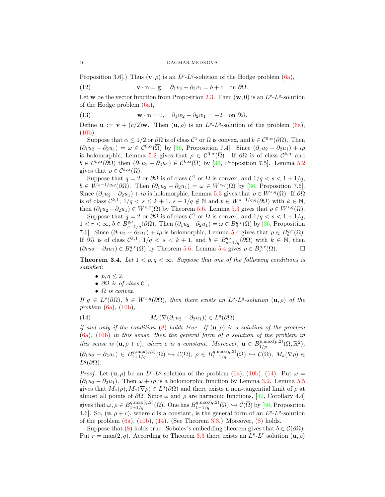Proposition 3.6.]) Thus  $(v, \rho)$  is an  $L^p L^q$ -solution of the Hodge problem (6a),

(12) 
$$
\mathbf{v} \cdot \mathbf{n} = \mathbf{g}, \quad \partial_1 v_2 - \partial_2 v_1 = b + c \quad \text{on } \partial \Omega.
$$

Let w be the vector function from Proposition 2.3. Then  $(w, 0)$  is an  $L^p L^q$ -solution of the Hodge problem (6a),

(13) 
$$
\mathbf{w} \cdot \mathbf{n} = 0, \quad \partial_1 w_2 - \partial_2 w_1 = -2 \quad \text{on } \partial \Omega.
$$

Define  $\mathbf{u} := \mathbf{v} + (c/2)\mathbf{w}$ . Then  $(\mathbf{u}, \rho)$  is an  $L^p L^q$ -solution of the problem  $(6a)$ ,  $(10b)$ .

Suppose that  $\alpha \leq 1/2$  or  $\partial\Omega$  is of class  $\mathcal{C}^1$  or  $\Omega$  is convex, and  $b \in \mathcal{C}^{0,\alpha}(\partial\Omega)$ . Then  $(\partial_1u_2 - \partial_2u_1) = \omega \in C^{0,\alpha}(\overline{\Omega})$  by [36, Proposition 7.4]. Since  $(\partial_1u_2 - \partial_2u_1) + i\rho$ is holomorphic, Lemma 5.2 gives that  $\rho \in C^{0,\alpha}(\overline{\Omega})$ . If  $\partial\Omega$  is of class  $C^{k,\alpha}$  and  $b \in C^{k,\alpha}(\partial\Omega)$  then  $(\partial_1u_2 - \partial_2u_1) \in C^{k,\alpha}(\overline{\Omega})$  by [36, Proposition 7.5]. Lemma 5.2 gives that  $\rho \in \mathcal{C}^{k,\alpha}(\overline{\Omega})$ .

Suppose that  $q = 2$  or  $\partial\Omega$  is of class  $\mathcal{C}^1$  or  $\Omega$  is convex, and  $1/q < s < 1 + 1/q$ ,  $b \in W^{s-1/q,q}(\partial \Omega)$ . Then  $(\partial_1 u_2 - \partial_2 u_1) = \omega \in W^{s,q}(\Omega)$  by [36, Proposition 7.6]. Since  $(\partial_1 u_2 - \partial_2 u_1) + i\rho$  is holomorphic, Lemma 5.3 gives that  $\rho \in W^{s,q}(\Omega)$ . If  $\partial\Omega$ is of class  $\mathcal{C}^{k,1}$ ,  $1/q < s \leq k+1$ ,  $s-1/q \notin \mathbb{N}$  and  $b \in W^{s-1/q,q}(\partial \Omega)$  with  $k \in \mathbb{N}$ , then  $(\partial_1 u_2 - \partial_2 u_1) \in W^{s,q}(\Omega)$  by Theorem 5.6. Lemma 5.3 gives that  $\rho \in W^{s,q}(\Omega)$ .

Suppose that  $q = 2$  or  $\partial\Omega$  is of class  $\mathcal{C}^1$  or  $\Omega$  is convex, and  $1/q < s < 1 + 1/q$ ,  $1 < r < \infty, b \in B^{q,r}_{s-1/q}(\partial\Omega)$ . Then  $(\partial_1 u_2 - \partial_2 u_1) = \omega \in B^{q,r}_{s}(\Omega)$  by [36, Proposition 7.6]. Since  $(\partial_1 u_2 - \partial_2 u_1) + i \rho$  is holomorphic, Lemma 5.4 gives that  $\rho \in B_s^{q,r}(\Omega)$ . If  $\partial\Omega$  is of class  $\mathcal{C}^{k,1}$ ,  $1/q < s < k+1$ , and  $b \in B^{q,r}_{s-1/q}(\partial\Omega)$  with  $k \in \mathbb{N}$ , then  $(\partial_1 u_2 - \partial_2 u_1) \in B_s^{q,r}(\Omega)$  by Theorem 5.6. Lemma 5.4 gives  $\rho \in B_s^{q,r}(\Omega)$ .

**Theorem 3.4.** Let  $1 < p, q < \infty$ . Suppose that one of the following conditions is satisfied:

- $p, q \leq 2$ ,
- $\partial\Omega$  is of class  $\mathcal{C}^1$ ,
- $\Omega$  is convex.

If  $g \in L^p(\partial\Omega)$ ,  $b \in W^{1,q}(\partial\Omega)$ , then there exists an  $L^p L^q$ -solution  $(\mathbf{u}, \rho)$  of the problem  $(6a)$ ,  $(10b)$ ,

(14) 
$$
M_a(\nabla(\partial_1 u_2 - \partial_2 u_1)) \in L^q(\partial\Omega)
$$

if and only if the condition (8) holds true. If  $(\mathbf{u}, \rho)$  is a solution of the problem (6a), (10b) in this sense, then the general form of a solution of the problem in this sense is  $(\mathbf{u}, \rho + c)$ , where c is a constant. Moreover,  $\mathbf{u} \in B_{1/p}^{p, \max(p, 2)}(\Omega, \mathbb{R}^2)$ ,  $(\partial_1 u_2 - \partial_2 u_1) \in B_{1+1/q}^{q, \max(q, 2)}(\Omega) \hookrightarrow \mathcal{C}(\overline{\Omega}), \ \rho \in B_{1+1/q}^{q, \max(q, 2)}(\Omega) \hookrightarrow \mathcal{C}(\overline{\Omega}), \ M_a(\nabla \rho) \in$  $L^q(\partial\Omega)$ .

*Proof.* Let  $(\mathbf{u}, \rho)$  be an  $L^p L^q$ -solution of the problem (6a), (10b), (14). Put  $\omega =$  $(\partial_1 u_2 - \partial_2 u_1)$ . Then  $\omega + i\rho$  is a holomorphic function by Lemma 3.2. Lemma 5.5 gives that  $M_a(\rho), M_a(\nabla \rho) \in L^q(\partial \Omega)$  and there exists a non-tangential limit of  $\rho$  at almost all points of  $\partial\Omega$ . Since  $\omega$  and  $\rho$  are harmonic functions, [42, Corollary 4.4] gives that  $\omega, \rho \in B^{q, \max(q, 2)}_{1+1/q}(\Omega)$ . One has  $B^{q, \max(q, 2)}_{1+1/q}(\Omega) \hookrightarrow \mathcal{C}(\overline{\Omega})$  by [56, Proposition 4.6. So,  $(\mathbf{u}, \rho + c)$ , where c is a constant, is the general form of an  $L^p L^q$ -solution of the problem  $(6a)$ ,  $(10b)$ ,  $(14)$ . (See Theorem 3.3.) Moreover,  $(8)$  holds.

Suppose that (8) holds true. Sobolev's embedding theorem gives that  $b \in C(\partial \Omega)$ . Put  $r = \max(2, q)$ . According to Theorem 3.3 there exists an  $L^p$ - $L^r$  solution  $(\mathbf{u}, \rho)$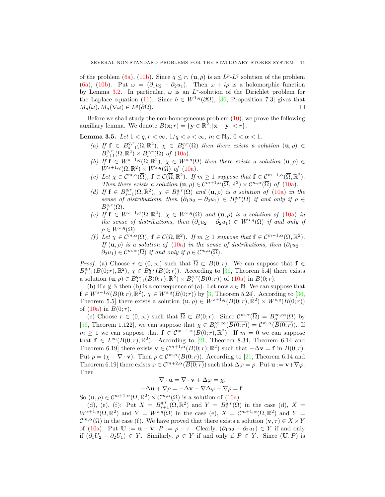of the problem (6a), (10b). Since  $q \leq r$ ,  $(\mathbf{u}, \rho)$  is an  $L^p L^q$  solution of the problem (6a), (10b). Put  $\omega = (\partial_1 u_2 - \partial_2 u_1)$ . Then  $\omega + i\rho$  is a holomorphic function by Lemma 3.2. In particular,  $\omega$  is an L<sup>r</sup>-solution of the Dirichlet problem for the Laplace equation (11). Since  $b \in W^{1,q}(\partial\Omega)$ , [36, Proposition 7.3] gives that  $M_a(\omega), M_a(\nabla \omega) \in L^q$  $(\partial \Omega)$ .

Before we shall study the non-homogeneous problem  $(10)$ , we prove the following auxiliary lemma. We denote  $B(\mathbf{x}; r) = \{ \mathbf{y} \in \mathbb{R}^2; |\mathbf{x} - \mathbf{y}| < r \}.$ 

Lemma 3.5. Let  $1 < q, r < \infty, 1/q < s < \infty, m \in \mathbb{N}_0, 0 < \alpha < 1$ .

- (a) If  $f \in B^{q,r}_{s-1}(\Omega,\mathbb{R}^2)$ ,  $\chi \in B^{q,r}_{s}(\Omega)$  then there exists a solution  $(\mathbf{u}, \rho) \in$  $B^{q,r}_{s+1}(\Omega,\mathbb{R}^2) \times B^{q,r}_{s}(\Omega)$  of  $(10a)$ .
- (b) If  $f \in W^{s-1,q}(\Omega,\mathbb{R}^2)$ ,  $\chi \in W^{s,q}(\Omega)$  then there exists a solution  $(\mathbf{u}, \rho) \in$  $W^{s+1,q}(\Omega,\mathbb{R}^2) \times W^{s,q}(\Omega)$  of  $(10a)$ .
- (c) Let  $\chi \in C^{m,\alpha}(\overline{\Omega})$ ,  $f \in C(\overline{\Omega}, \mathbb{R}^2)$ . If  $m \geq 1$  suppose that  $f \in C^{m-1,\alpha}(\overline{\Omega}, \mathbb{R}^2)$ . Then there exists a solution  $(\mathbf{u}, \rho) \in C^{m+1,\alpha}(\overline{\Omega}, \mathbb{R}^2) \times C^{m,\alpha}(\overline{\Omega})$  of (10a).
- (d) If  $f \in B^{q,r}_{s-1}(\Omega,\mathbb{R}^2)$ ,  $\chi \in B^{q,r}_{s}(\Omega)$  and  $(\mathbf{u},\rho)$  is a solution of  $(10a)$  in the sense of distributions, then  $(\partial_1 u_2 - \partial_2 u_1) \in B_s^{q,r}(\Omega)$  if and only if  $\rho \in$  $B_s^{q,r}(\Omega)$ .
- (e) If  $f \in W^{s-1,q}(\Omega,\mathbb{R}^2)$ ,  $\chi \in W^{s,q}(\Omega)$  and  $(\mathbf{u},\rho)$  is a solution of  $(10a)$  in the sense of distributions, then  $(\partial_1 u_2 - \partial_2 u_1) \in W^{s,q}(\Omega)$  if and only if  $\rho \in W^{s,q}(\Omega)$ .
- (f) Let  $\chi \in \mathcal{C}^{m,\alpha}(\overline{\Omega})$ ,  $\mathbf{f} \in \mathcal{C}(\overline{\Omega}, \mathbb{R}^2)$ . If  $m \geq 1$  suppose that  $\mathbf{f} \in \mathcal{C}^{m-1,\alpha}(\overline{\Omega}, \mathbb{R}^2)$ . If  $(\mathbf{u}, \rho)$  is a solution of  $(10a)$  in the sense of distributions, then  $(\partial_1 u_2 \partial_2 u_1 \in \mathcal{C}^{m,\alpha}(\overline{\Omega})$  if and only if  $\rho \in \mathcal{C}^{m,\alpha}(\overline{\Omega})$ .

*Proof.* (a) Choose  $r \in (0,\infty)$  such that  $\overline{\Omega} \subset B(0;r)$ . We can suppose that  $f \in$  $B_{s-1}^{q,r}(B(0;r),\mathbb{R}^2), \chi \in B_s^{q,r}(B(0;r)).$  According to [36, Theorem 5.4] there exists a solution  $(\mathbf{u}, \rho) \in B_{s+1}^{q,r}(B(0; r), \mathbb{R}^2) \times B_s^{q,r}(B(0; r))$  of  $(10a)$  in  $B(0; r)$ .

(b) If  $s \notin \mathbb{N}$  then (b) is a consequence of (a). Let now  $s \in \mathbb{N}$ . We can suppose that  $f \in W^{s-1,q}(B(0;r),\mathbb{R}^2), \chi \in W^{s,q}(B(0;r))$  by [3, Theorem 5.24]. According to [36, Theorem 5.5] there exists a solution  $(\mathbf{u}, \rho) \in W^{s+1,q}(B(0,r), \mathbb{R}^2) \times W^{s,q}(B(0,r))$ of  $(10a)$  in  $B(0; r)$ .

(c) Choose  $r \in (0,\infty)$  such that  $\overline{\Omega} \subset B(0;r)$ . Since  $\mathcal{C}^{m,\alpha}(\overline{\Omega}) = B_{\alpha}^{\infty,\infty}(\Omega)$  by [56, Theorem 1.122], we can suppose that  $\chi \in B^{\infty,\infty}_{\alpha}(\overline{B(0;r)}) = C^{m,\alpha}(\overline{B(0;r)})$ . If  $m \geq 1$  we can suppose that  $\mathbf{f} \in \mathcal{C}^{m-1,\alpha}(\overline{B(0;r)},\mathbb{R}^2)$ . If  $m=0$  we can suppose that  $f \in L^{\infty}(B(0;r), \mathbb{R}^2)$ . According to [21, Theorem 8.34, Theorem 6.14 and Theorem 6.19] there exists  $\mathbf{v} \in \mathcal{C}^{m+1,\alpha}(\overline{B(0;r)};\mathbb{R}^2)$  such that  $-\Delta \mathbf{v} = \mathbf{f}$  in  $B(0;r)$ . Put  $\rho = (\chi - \nabla \cdot \mathbf{v})$ . Then  $\rho \in \mathcal{C}^{m,\alpha}(\overline{B(0;r)})$ . According to [21, Theorem 6.14 and Theorem 6.19] there exists  $\varphi \in C^{m+2,\alpha}(\overline{B(0;r)})$  such that  $\Delta \varphi = \rho$ . Put  $\mathbf{u} := \mathbf{v} + \nabla \varphi$ . Then

$$
\nabla \cdot \mathbf{u} = \nabla \cdot \mathbf{v} + \Delta \varphi = \chi,
$$
  
- \Delta \mathbf{u} + \nabla \rho = -\Delta \mathbf{v} - \nabla \Delta \varphi + \nabla \rho = \mathbf{f}.

So  $(\mathbf{u}, \rho) \in \mathcal{C}^{m+1, \alpha}(\overline{\Omega}, \mathbb{R}^2) \times \mathcal{C}^{m, \alpha}(\overline{\Omega})$  is a solution of (10a).

(d), (e), (f): Put  $X = B^{q,r}_{s+1}(\Omega, \mathbb{R}^2)$  and  $Y = B^{q,r}_{s}(\Omega)$  in the case (d),  $X =$  $W^{s+1,q}(\Omega,\mathbb{R}^2)$  and  $Y = W^{s,q}(\Omega)$  in the case (e),  $X = \mathcal{C}^{m+1,\alpha}(\overline{\Omega},\mathbb{R}^2)$  and  $Y =$  $\mathcal{C}^{m,\alpha}(\overline{\Omega})$  in the case (f). We have proved that there exists a solution  $(\mathbf{v},\tau) \in X \times Y$ of (10a). Put  $\mathbf{U} := \mathbf{u} - \mathbf{v}$ ,  $P := \rho - \tau$ . Clearly,  $(\partial_1 u_2 - \partial_2 u_1) \in Y$  if and only if  $(\partial_1 U_2 - \partial_2 U_1) \in Y$ . Similarly,  $\rho \in Y$  if and only if  $P \in Y$ . Since  $(\mathbf{U}, P)$  is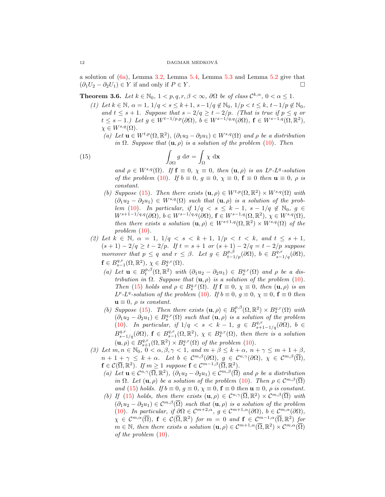a solution of (6a), Lemma 3.2, Lemma 5.4, Lemma 5.3 and Lemma 5.2 give that  $(\partial_1 U_2 - \partial_2 U_1) \in Y$  if and only if  $P \in Y$ .

**Theorem 3.6.** Let  $k \in \mathbb{N}_0$ ,  $1 < p, q, r, \beta < \infty$ ,  $\partial\Omega$  be of class  $\mathcal{C}^{k,\alpha}$ ,  $0 < \alpha \leq 1$ .

- (1) Let  $k \in \mathbb{N}$ ,  $\alpha = 1$ ,  $1/q < s \leq k+1$ ,  $s-1/q \notin \mathbb{N}_0$ ,  $1/p < t \leq k$ ,  $t-1/p \notin \mathbb{N}_0$ , and  $t \leq s+1$ . Suppose that  $s-2/q \geq t-2/p$ . (That is true if  $p \leq q$  or  $t \leq s - 1$ .) Let  $g \in W^{t-1/p,p}(\partial \Omega)$ ,  $b \in W^{s-1/q,q}(\partial \Omega)$ ,  $\mathbf{f} \in W^{s-1,q}(\Omega,\mathbb{R}^2)$ ,  $\chi \in W^{s,q}(\Omega)$ .
	- (a) Let  $\mathbf{u} \in W^{t,p}(\Omega,\mathbb{R}^2)$ ,  $(\partial_1 u_2 \partial_2 u_1) \in W^{s,q}(\Omega)$  and  $\rho$  be a distribution in  $\Omega$ . Suppose that  $(\mathbf{u}, \rho)$  is a solution of the problem (10). Then

(15) 
$$
\int_{\partial \Omega} g \, d\sigma = \int_{\Omega} \chi \, d\mathbf{x}
$$

and  $\rho \in W^{s,q}(\Omega)$ . If  $\mathbf{f} \equiv 0$ ,  $\chi \equiv 0$ , then  $(\mathbf{u}, \rho)$  is an  $L^p$ - $L^q$ -solution of the problem (10). If  $b \equiv 0$ ,  $g \equiv 0$ ,  $\chi \equiv 0$ ,  $\mathbf{f} \equiv 0$  then  $\mathbf{u} \equiv 0$ ,  $\rho$  is constant.

- (b) Suppose (15). Then there exists  $(\mathbf{u}, \rho) \in W^{t,p}(\Omega, \mathbb{R}^2) \times W^{s,q}(\Omega)$  with  $(\partial_1 u_2 - \partial_2 u_1) \in W^{s,q}(\Omega)$  such that  $(\mathbf{u}, \rho)$  is a solution of the problem (10). In particular, if  $1/q < s \leq k-1$ ,  $s-1/q \notin \mathbb{N}_0$ ,  $q \in \mathbb{N}_0$  $W^{s+1-1/q,q}(\partial\Omega), b\in W^{s-1/q,q}(\partial\Omega), \mathbf{f}\in W^{s-1,q}(\Omega,\mathbb{R}^2), \chi\in W^{s,q}(\Omega),$ then there exists a solution  $(\mathbf{u}, \rho) \in W^{s+1,q}(\Omega, \mathbb{R}^2) \times W^{s,q}(\Omega)$  of the problem  $(10)$ .
- (2) Let  $k \in \mathbb{N}$ ,  $\alpha = 1$ ,  $1/q < s < k+1$ ,  $1/p < t < k$ , and  $t \leq s+1$ ,  $(s + 1) - 2/q \ge t - 2/p$ . If  $t = s + 1$  or  $(s + 1) - 2/q = t - 2/p$  suppose moreover that  $p \leq q$  and  $r \leq \beta$ . Let  $g \in B^{p,\beta}_{t-1/p}(\partial \Omega)$ ,  $b \in B^{q,r}_{s-1/q}(\partial \Omega)$ ,  $\mathbf{f} \in B^{q,r}_{s-1}(\Omega,\mathbb{R}^2), \ \chi \in B^{q,r}_{s}(\Omega).$ 
	- (a) Let  $\mathbf{u} \in B_t^{p,\beta}(\Omega,\mathbb{R}^2)$  with  $(\partial_1 u_2 \partial_2 u_1) \in B_s^{q,r}(\Omega)$  and  $\rho$  be a distribution in  $\Omega$ . Suppose that  $(\mathbf{u}, \rho)$  is a solution of the problem (10). Then (15) holds and  $\rho \in B_s^{q,r}(\Omega)$ . If  $\mathbf{f} \equiv 0$ ,  $\chi \equiv 0$ , then  $(\mathbf{u}, \rho)$  is an  $L^p$ -L<sup>q</sup>-solution of the problem (10). If  $b \equiv 0, g \equiv 0, \chi \equiv 0, f \equiv 0$  then  $\mathbf{u} \equiv 0$ ,  $\rho$  is constant.
	- (b) Suppose (15). Then there exists  $(\mathbf{u}, \rho) \in B_t^{p,\beta}(\Omega, \mathbb{R}^2) \times B_s^{q,r}(\Omega)$  with  $(\partial_1 u_2 - \partial_2 u_1) \in B_s^{q,r}(\Omega)$  such that  $(\mathbf{u}, \rho)$  is a solution of the problem (10). In particular, if  $1/q < s < k - 1$ ,  $g \in B^{q,r}_{s+1-1/q}(\partial \Omega)$ ,  $b \in$  $B^{q,r}_{s-1/q}(\partial\Omega)$ ,  $\mathbf{f}\in B^{q,r}_{s-1}(\Omega,\mathbb{R}^2)$ ,  $\chi \in B^{q,r}_{s}(\Omega)$ , then there is a solution  $(\mathbf{u}, \rho) \in B^{q,r}_{s+1}(\Omega, \mathbb{R}^2) \times B^{q,r}_{s}(\Omega)$  of the problem (10).
- (3) Let  $m, n \in \mathbb{N}_0$ ,  $0 < \alpha, \beta, \gamma < 1$ , and  $m + \beta \le k + \alpha$ ,  $n + \gamma \le m + 1 + \beta$ ,  $n + 1 + \gamma \leq k + \alpha$ . Let  $b \in C^{m,\beta}(\partial\Omega)$ ,  $g \in C^{n,\gamma}(\partial\Omega)$ ,  $\chi \in C^{m,\beta}(\overline{\Omega})$ ,  $\mathbf{f} \in \mathcal{C}(\overline{\Omega}, \mathbb{R}^2)$ . If  $m \geq 1$  suppose  $\mathbf{f} \in \mathcal{C}^{m-1,\beta}(\overline{\Omega}, \mathbb{R}^2)$ .
	- (a) Let  $\mathbf{u} \in \mathcal{C}^{n,\gamma}(\overline{\Omega}, \mathbb{R}^2)$ ,  $(\partial_1 u_2 \partial_2 u_1) \in \mathcal{C}^{m,\beta}(\overline{\Omega})$  and  $\rho$  be a distribution in  $\Omega$ . Let  $(\mathbf{u}, \rho)$  be a solution of the problem (10). Then  $\rho \in \mathcal{C}^{m, \beta}(\overline{\Omega})$ and (15) holds. If  $b \equiv 0$ ,  $g \equiv 0$ ,  $\chi \equiv 0$ ,  $\mathbf{f} \equiv 0$  then  $\mathbf{u} \equiv 0$ ,  $\rho$  is constant.
	- (b) If (15) holds, then there exists  $(\mathbf{u}, \rho) \in C^{n,\gamma}(\overline{\Omega}, \mathbb{R}^2) \times C^{m,\beta}(\overline{\Omega})$  with  $(\partial_1 u_2 - \partial_2 u_1) \in C^{m,\beta}(\overline{\Omega})$  such that  $(\mathbf{u}, \rho)$  is a solution of the problem (10). In particular, if  $\partial\Omega \in C^{m+2,\alpha}$ ,  $g \in C^{m+1,\alpha}(\partial\Omega)$ ,  $b \in C^{m,\alpha}(\partial\Omega)$ ,  $\chi \in C^{m,\alpha}(\overline{\Omega}), \ \mathbf{f} \in \mathcal{C}(\overline{\Omega},\mathbb{R}^2) \ \textit{for} \ \ m = 0 \ \textit{and} \ \mathbf{f} \in C^{m-1,\alpha}(\overline{\Omega},\mathbb{R}^2) \ \textit{for}$  $m \in \mathbb{N}$ , then there exists a solution  $(\mathbf{u}, \rho) \in \mathcal{C}^{m+1,\alpha}(\overline{\Omega}, \mathbb{R}^2) \times \mathcal{C}^{m,\alpha}(\overline{\Omega})$ of the problem (10).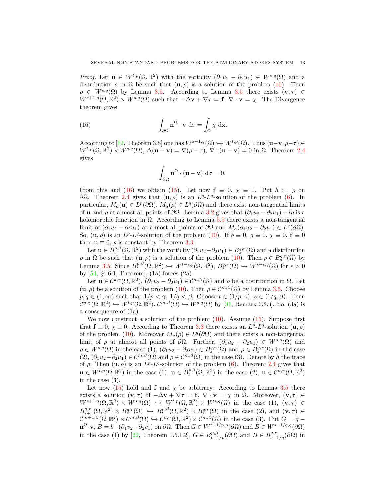*Proof.* Let  $\mathbf{u} \in W^{t,p}(\Omega,\mathbb{R}^2)$  with the vorticity  $(\partial_1 u_2 - \partial_2 u_1) \in W^{s,q}(\Omega)$  and a distribution  $\rho$  in  $\Omega$  be such that  $(\mathbf{u}, \rho)$  is a solution of the problem (10). Then  $\rho \in W^{s,q}(\Omega)$  by Lemma 3.5. According to Lemma 3.5 there exists  $(\mathbf{v}, \tau) \in$  $W^{s+1,q}(\Omega,\mathbb{R}^2) \times W^{s,q}(\Omega)$  such that  $-\Delta \mathbf{v} + \nabla \tau = \mathbf{f}, \nabla \cdot \mathbf{v} = \chi$ . The Divergence theorem gives

(16) 
$$
\int_{\partial\Omega} \mathbf{n}^{\Omega} \cdot \mathbf{v} \, d\sigma = \int_{\Omega} \chi \, d\mathbf{x}.
$$

According to [12, Theorem 3.8] one has  $W^{s+1,q}(\Omega) \hookrightarrow W^{t,p}(\Omega)$ . Thus  $(\mathbf{u}-\mathbf{v}, \rho-\tau) \in$  $W^{t,p}(\Omega,\mathbb{R}^2) \times W^{s,q}(\Omega), \Delta(\mathbf{u}-\mathbf{v}) = \nabla(\rho-\tau), \nabla \cdot (\mathbf{u}-\mathbf{v}) = 0$  in  $\Omega$ . Theorem 2.4 gives

$$
\int_{\partial\Omega} \mathbf{n}^{\Omega} \cdot (\mathbf{u} - \mathbf{v}) \, d\sigma = 0.
$$

From this and (16) we obtain (15). Let now  $f \equiv 0, \chi \equiv 0$ . Put  $h := \rho$  on  $\partial\Omega$ . Theorem 2.4 gives that  $(\mathbf{u}, \rho)$  is an  $L^p$ - $L^q$ -solution of the problem (6). In particular,  $M_a(\mathbf{u}) \in L^p(\partial\Omega)$ ,  $M_a(\rho) \in L^q(\partial\Omega)$  and there exist non-tangential limits of u and  $\rho$  at almost all points of  $\partial\Omega$ . Lemma 3.2 gives that  $(\partial_1u_2 - \partial_2u_1) + i\rho$  is a holomorphic function in  $\Omega$ . According to Lemma 5.5 there exists a non-tangential limit of  $(\partial_1 u_2 - \partial_2 u_1)$  at almost all points of  $\partial \Omega$  and  $M_a(\partial_1 u_2 - \partial_2 u_1) \in L^q(\partial \Omega)$ . So,  $(\mathbf{u}, \rho)$  is an  $L^p L^q$ -solution of the problem (10). If  $b \equiv 0$ ,  $g \equiv 0$ ,  $\chi \equiv 0$ ,  $\mathbf{f} \equiv 0$ then  $\mathbf{u} \equiv 0$ ,  $\rho$  is constant by Theorem 3.3.

Let  $\mathbf{u} \in B_t^{p,\beta}(\Omega,\mathbb{R}^2)$  with the vorticity  $(\partial_1 u_2 - \partial_2 u_1) \in B_s^{q,r}(\Omega)$  and a distribution  $\rho$  in  $\Omega$  be such that  $(\mathbf{u}, \rho)$  is a solution of the problem  $(10)$ . Then  $\rho \in B_s^{q,r}(\Omega)$  by Lemma 3.5. Since  $B_t^{p,\beta}(\Omega,\mathbb{R}^2) \hookrightarrow W^{t-\epsilon,p}(\Omega,\mathbb{R}^2), B_s^{q,r}(\Omega) \hookrightarrow W^{s-\epsilon,q}(\Omega)$  for  $\epsilon > 0$ by [54, §4.6.1, Theorem], (1a) forces (2a).

Let  $\mathbf{u} \in \mathcal{C}^{n,\gamma}(\overline{\Omega}, \mathbb{R}^2), (\partial_1 u_2 - \partial_2 u_1) \in \mathcal{C}^{m,\beta}(\overline{\Omega})$  and  $\rho$  be a distribution in  $\Omega$ . Let  $(\mathbf{u}, \rho)$  be a solution of the problem (10). Then  $\rho \in \mathcal{C}^{m, \beta}(\overline{\Omega})$  by Lemma 3.5. Choose  $p, q \in (1, \infty)$  such that  $1/p < \gamma$ ,  $1/q < \beta$ . Choose  $t \in (1/p, \gamma)$ ,  $s \in (1/q, \beta)$ . Then  $\mathcal{C}^{n,\gamma}(\overline{\Omega},\mathbb{R}^2) \hookrightarrow W^{t,p}(\Omega,\mathbb{R}^2), \, \mathcal{C}^{m,\beta}(\overline{\Omega}) \hookrightarrow W^{s,q}(\Omega)$  by [31, Remark 6.8.3]. So, (3a) is a consequence of (1a).

We now construct a solution of the problem  $(10)$ . Assume  $(15)$ . Suppose first that  $\mathbf{f} \equiv 0$ ,  $\chi \equiv 0$ . According to Theorem 3.3 there exists an  $L^p - L^q$ -solution  $(\mathbf{u}, \rho)$ of the problem (10). Moreover  $M_a(\rho) \in L^q(\partial\Omega)$  and there exists a non-tangential limit of  $\rho$  at almost all points of  $\partial\Omega$ . Further,  $(\partial_1u_2 - \partial_2u_1) \in W^{s,q}(\Omega)$  and  $\rho \in W^{s,q}(\Omega)$  in the case  $(1)$ ,  $(\partial_1 u_2 - \partial_2 u_1) \in B_s^{q,r}(\Omega)$  and  $\rho \in B_s^{q,r}(\Omega)$  in the case  $(2), (\partial_1 u_2-\partial_2 u_1) \in \mathcal{C}^{m,\beta}(\overline{\Omega})$  and  $\rho \in \mathcal{C}^{m,\beta}(\overline{\Omega})$  in the case (3). Denote by h the trace of  $\rho$ . Then  $(\mathbf{u}, \rho)$  is an  $L^p$ - $L^q$ -solution of the problem (6). Theorem 2.4 gives that  $\mathbf{u} \in W^{t,p}(\Omega,\mathbb{R}^2)$  in the case  $(1), \mathbf{u} \in B_t^{p,\beta}(\Omega,\mathbb{R}^2)$  in the case  $(2), \mathbf{u} \in C^{n,\gamma}(\Omega,\mathbb{R}^2)$ in the case (3).

Let now (15) hold and f and  $\chi$  be arbitrary. According to Lemma 3.5 there exists a solution  $(v, \tau)$  of  $-\Delta v + \nabla \tau = f$ ,  $\nabla \cdot v = \chi$  in  $\Omega$ . Moreover,  $(v, \tau) \in$  $W^{s+1,q}(\Omega,\mathbb{R}^2) \times W^{s,q}(\Omega) \hookrightarrow W^{t,p}(\Omega,\mathbb{R}^2) \times W^{s,q}(\Omega)$  in the case  $(1), (\mathbf{v},\tau) \in$  $B_{s+1}^{q,r}(\Omega,\mathbb{R}^2) \times B_s^{q,r}(\Omega) \hookrightarrow B_t^{p,\beta}(\Omega,\mathbb{R}^2) \times B_s^{q,r}(\Omega)$  in the case (2), and  $(\mathbf{v},\tau) \in$  $\mathcal{C}^{m+1,\beta}(\overline{\Omega},\mathbb{R}^2) \times \mathcal{C}^{m,\beta}(\overline{\Omega}) \hookrightarrow \mathcal{C}^{n,\gamma}(\overline{\Omega},\mathbb{R}^2) \times \mathcal{C}^{m,\beta}(\overline{\Omega})$  in the case (3). Put  $G = g \mathbf{n}^{\Omega} \cdot \mathbf{v}, B = b - (\partial_1 v_2 - \partial_2 v_1)$  on  $\partial \Omega$ . Then  $G \in W^{t-1/p,p}(\partial \Omega)$  and  $B \in W^{s-1/q,q}(\partial \Omega)$ in the case (1) by [22, Theorem 1.5.1.2],  $G \in B^{p,\beta}_{t-1/p}(\partial\Omega)$  and  $B \in B^{q,r}_{s-1/q}(\partial\Omega)$  in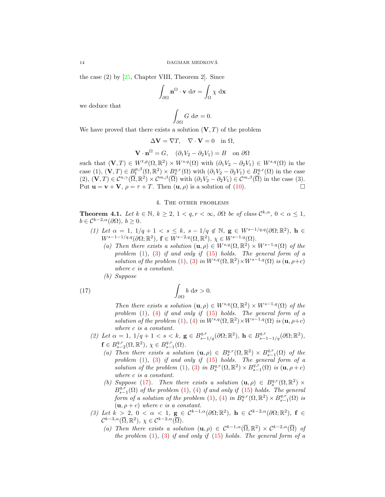the case (2) by [25, Chapter VIII, Theorem 2]. Since

$$
\int_{\partial\Omega} \mathbf{n}^{\Omega} \cdot \mathbf{v} \, d\sigma = \int_{\Omega} \chi \, d\mathbf{x}
$$

we deduce that

$$
\int_{\partial\Omega} G \, \mathrm{d}\sigma = 0.
$$

We have proved that there exists a solution  $(V, T)$  of the problem

$$
\Delta \mathbf{V} = \nabla T, \quad \nabla \cdot \mathbf{V} = 0 \quad \text{in } \Omega,
$$

$$
\mathbf{V} \cdot \mathbf{n}^{\Omega} = G, \quad (\partial_1 V_2 - \partial_2 V_1) = B \quad \text{on } \partial \Omega
$$

such that  $(\mathbf{V}, T) \in W^{t,p}(\Omega, \mathbb{R}^2) \times W^{s,q}(\Omega)$  with  $(\partial_1 V_2 - \partial_2 V_1) \in W^{s,q}(\Omega)$  in the case (1),  $(\mathbf{V}, T) \in B_t^{p,\beta}(\Omega, \mathbb{R}^2) \times B_s^{q,r}(\Omega)$  with  $(\partial_1 V_2 - \partial_2 V_1) \in B_s^{q,r}(\Omega)$  in the case  $(2), (\mathbf{V}, T) \in \mathcal{C}^{n,\gamma}(\overline{\Omega}, \mathbb{R}^2) \times \mathcal{C}^{m,\beta}(\overline{\Omega})$  with  $(\partial_1 V_2 - \partial_2 V_1) \in \mathcal{C}^{m,\beta}(\overline{\Omega})$  in the case (3). Put  $\mathbf{u} = \mathbf{v} + \mathbf{V}$ ,  $\rho = \tau + T$ . Then  $(\mathbf{u}, \rho)$  is a solution of (10).

# 4. The other problems

**Theorem 4.1.** Let  $k \in \mathbb{N}$ ,  $k \geq 2$ ,  $1 < q, r < \infty$ ,  $\partial\Omega$  be of class  $\mathcal{C}^{k,\alpha}$ ,  $0 < \alpha \leq 1$ ,  $b \in C^{k-2,\alpha}(\partial\Omega), b > 0.$ 

- (1) Let  $\alpha = 1, 1/q + 1 < s \leq k$ ,  $s 1/q \notin \mathbb{N}$ ,  $\mathbf{g} \in W^{s-1/q,q}(\partial \Omega; \mathbb{R}^2)$ ,  $\mathbf{h} \in$  $W^{s-1-1/q,q}(\partial\Omega;\mathbb{R}^2), \mathbf{f} \in W^{s-2,q}(\Omega,\mathbb{R}^2), \chi \in W^{s-1,q}(\Omega).$ 
	- (a) Then there exists a solution  $(\mathbf{u}, \rho) \in W^{s,q}(\Omega, \mathbb{R}^2) \times W^{s-1,q}(\Omega)$  of the problem  $(1)$ ,  $(3)$  if and only if  $(15)$  holds. The general form of a solution of the problem (1), (3) in  $W^{s,q}(\Omega,\mathbb{R}^2)\times W^{s-1,q}(\Omega)$  is  $(\mathbf{u},\rho+c)$ where c is a constant.
	- (b) Suppose

(17) 
$$
\int_{\partial\Omega} b \, d\sigma > 0.
$$

Then there exists a solution  $(\mathbf{u}, \rho) \in W^{s,q}(\Omega, \mathbb{R}^2) \times W^{s-1,q}(\Omega)$  of the problem  $(1)$ ,  $(4)$  if and only if  $(15)$  holds. The general form of a solution of the problem (1), (4) in  $W^{s,q}(\Omega,\mathbb{R}^2)\times W^{s-1,q}(\Omega)$  is  $(\mathbf{u},\rho+c)$ where c is a constant.

- (2) Let  $\alpha = 1, 1/q + 1 < s < k$ ,  $\mathbf{g} \in B^{q,r}_{s-1/q}(\partial \Omega; \mathbb{R}^2)$ ,  $\mathbf{h} \in B^{q,r}_{s-1-1/q}(\partial \Omega; \mathbb{R}^2)$ ,  $\mathbf{f} \in B^{q,r}_{s-2}(\Omega,\mathbb{R}^2), \ \chi \in B^{q,r}_{s-1}(\Omega).$ 
	- (a) Then there exists a solution  $(\mathbf{u}, \rho) \in B_s^{q,r}(\Omega, \mathbb{R}^2) \times B_{s-1}^{q,r}(\Omega)$  of the problem  $(1)$ ,  $(3)$  if and only if  $(15)$  holds. The general form of a solution of the problem (1), (3) in  $B_s^{q,r}(\Omega,\mathbb{R}^2) \times B_{s-1}^{q,r}(\Omega)$  is  $(\mathbf{u}, \rho + c)$ where c is a constant.
	- (b) Suppose (17). Then there exists a solution  $(\mathbf{u}, \rho) \in B_s^{q,r}(\Omega, \mathbb{R}^2)$  ×  $B_{s-1}^{\tilde{q},\tilde{r}}(\Omega)$  of the problem (1), (4) if and only if (15) holds. The general form of a solution of the problem (1), (4) in  $B_s^{q,r}(\Omega,\mathbb{R}^2) \times B_{s-1}^{q,r}(\Omega)$  is  $(\mathbf{u}, \rho + c)$  where c is a constant.
- (3) Let  $k > 2$ ,  $0 < \alpha < 1$ ,  $g \in C^{k-1,\alpha}(\partial\Omega;\mathbb{R}^2)$ ,  $h \in C^{k-2,\alpha}(\partial\Omega;\mathbb{R}^2)$ ,  $f \in$  $\mathcal{C}^{k-3,\alpha}(\overline{\Omega}, \mathbb{R}^2), \ \chi \in \mathcal{C}^{k-2,\alpha}(\overline{\Omega}).$ 
	- (a) Then there exists a solution  $(\mathbf{u}, \rho) \in C^{k-1,\alpha}(\overline{\Omega}, \mathbb{R}^2) \times C^{k-2,\alpha}(\overline{\Omega})$  of the problem  $(1)$ ,  $(3)$  if and only if  $(15)$  holds. The general form of a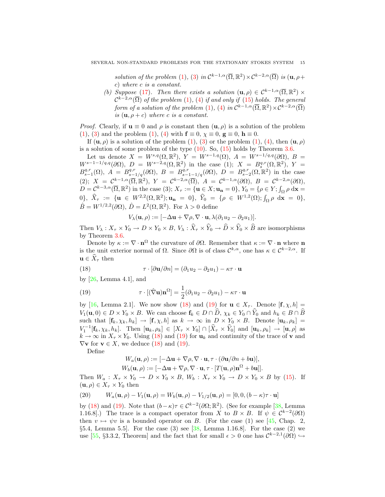solution of the problem (1), (3) in  $\mathcal{C}^{k-1,\alpha}(\overline{\Omega}, \mathbb{R}^2) \times \mathcal{C}^{k-2,\alpha}(\overline{\Omega})$  is  $(\mathbf{u}, \rho +$ c) where c is a constant.

(b) Suppose (17). Then there exists a solution  $(\mathbf{u}, \rho) \in C^{k-1,\alpha}(\overline{\Omega}, \mathbb{R}^2)$  ×  $\mathcal{C}^{k-2,\alpha}(\overline{\Omega})$  of the problem (1), (4) if and only if (15) holds. The general form of a solution of the problem (1), (4) in  $\mathcal{C}^{k-1,\alpha}(\overline{\Omega}, \mathbb{R}^2) \times \mathcal{C}^{k-2,\alpha}(\overline{\Omega})$ is  $(\mathbf{u}, \rho + c)$  where c is a constant.

*Proof.* Clearly, if  $u \equiv 0$  and  $\rho$  is constant then  $(u, \rho)$  is a solution of the problem (1), (3) and the problem (1), (4) with  $\mathbf{f} \equiv 0$ ,  $\chi \equiv 0$ ,  $\mathbf{g} \equiv 0$ ,  $\mathbf{h} \equiv 0$ .

If  $(\mathbf{u}, \rho)$  is a solution of the problem  $(1)$ ,  $(3)$  or the problem  $(1)$ ,  $(4)$ , then  $(\mathbf{u}, \rho)$ is a solution of some problem of the type  $(10)$ . So,  $(15)$  holds by Theorem 3.6.

Let us denote  $X = W^{s,q}(\Omega, \mathbb{R}^2)$ ,  $Y = W^{s-1,q}(\Omega)$ ,  $A = W^{s-1/q,q}(\partial \Omega)$ ,  $B =$  $W^{s-1-1/q,q}(\partial\Omega),\;D\;=\;W^{s-2,q}(\Omega,\mathbb{R}^2)\;\;\mbox{in the case}\;\; (1);\;\; X\;=\;B_s^{q,r}(\Omega,\mathbb{R}^2),\;Y\;=\;Y_s^{q,r}(\Omega,\mathbb{R}^2).$  $B_{s-1}^{q,r}(\Omega)$ ,  $A = B_{s-1/q}^{q,r}(\partial \Omega)$ ,  $B = B_{s-1-1/q}^{q,r}(\partial \Omega)$ ,  $D = B_{s-2}^{q,r}(\Omega, \mathbb{R}^2)$  in the case (2);  $X = C^{k-1,\alpha}(\overline{\Omega}, \mathbb{R}^2), Y = C^{k-2,\alpha}(\overline{\Omega}), A = C^{k-1,\alpha}(\partial \Omega), B = C^{k-2,\alpha}(\partial \Omega),$  $D = \mathcal{C}^{k-3,\alpha}(\overline{\Omega}, \mathbb{R}^2)$  in the case (3);  $X_{\tau} := \{ \mathbf{u} \in X; \mathbf{u}_\mathbf{n} = 0 \},$   $Y_0 = \{ \rho \in Y; \int_{\Omega} \rho \, \mathrm{d}\mathbf{x} = 0 \}$  $0\},\ \ \hat{X}_\tau := \{\mathbf{u} \in W^{2,2}(\Omega,\mathbb{R}^2); \mathbf{u_n} = 0\},\ \ \hat{Y}_0 = \{\rho \in W^{1,2}(\Omega); \int_{\Omega} \rho \mathrm{d}\mathbf{x} = 0\},$  $\hat{B} = W^{1/2,2}(\partial \Omega), \,\hat{D} = L^2(\Omega,\mathbb{R}^2).$  For  $\lambda > 0$  define

$$
V_{\lambda}(\mathbf{u},\rho) := [-\Delta \mathbf{u} + \nabla \rho, \nabla \cdot \mathbf{u}, \lambda (\partial_1 u_2 - \partial_2 u_1)].
$$

Then  $V_\lambda: X_\tau \times Y_0 \to D \times Y_0 \times B$ ,  $V_\lambda: \hat{X}_\tau \times \hat{Y}_0 \to \hat{D} \times \hat{Y}_0 \times \hat{B}$  are isomorphisms by Theorem 3.6.

Denote by  $\kappa := \nabla \cdot \mathbf{n}^{\Omega}$  the curvature of  $\partial \Omega$ . Remember that  $\kappa := \nabla \cdot \mathbf{n}$  where  $\mathbf{n}$ is the unit exterior normal of  $\Omega$ . Since  $\partial\Omega$  is of class  $\mathcal{C}^{k,\alpha}$ , one has  $\kappa \in \mathcal{C}^{k-2,\alpha}$ . If  $\mathbf{u} \in \hat{X}_{\tau}$  then

(18) 
$$
\tau \cdot [\partial \mathbf{u} / \partial n] = (\partial_1 u_2 - \partial_2 u_1) - \kappa \tau \cdot \mathbf{u}
$$

by  $[26, \text{Lemma } 4.1]$ , and

(19) 
$$
\tau \cdot [(\hat{\nabla} \mathbf{u}) \mathbf{n}^{\Omega}] = \frac{1}{2} (\partial_1 u_2 - \partial_2 u_1) - \kappa \tau \cdot \mathbf{u}
$$

by [16, Lemma 2.1]. We now show (18) and (19) for  $\mathbf{u} \in X_{\tau}$ . Denote  $[\mathbf{f}, \chi, h] =$  $V_1(\mathbf{u},0) \in D \times Y_0 \times B$ . We can choose  $\mathbf{f}_k \in D \cap \widehat{D}$ ,  $\chi_k \in Y_0 \cap \widehat{Y}_0$  and  $h_k \in B \cap \widehat{B}$ such that  $[\mathbf{f}_k, \chi_k, h_k] \to [\mathbf{f}, \chi, h]$  as  $k \to \infty$  in  $D \times Y_0 \times B$ . Denote  $[\mathbf{u}_k, \rho_k] =$  $V_1^{-1}[\mathbf{f}_k, \chi_k, h_k]$ . Then  $[\mathbf{u}_k, \rho_k] \in [X_\tau \times Y_0] \cap [\hat{X}_\tau \times \hat{Y}_0]$  and  $[\mathbf{u}_k, \rho_k] \to [\mathbf{u}, \rho]$  as  $k \to \infty$  in  $X_\tau \times Y_0$ . Using (18) and (19) for  $\mathbf{u}_k$  and continuity of the trace of v and  $\nabla$ **v** for **v**  $\in$  *X*, we deduce (18) and (19).

Define

$$
W_a(\mathbf{u}, \rho) := [-\Delta \mathbf{u} + \nabla \rho, \nabla \cdot \mathbf{u}, \tau \cdot (\partial \mathbf{u}/\partial n + b \mathbf{u})],
$$
  
\n
$$
W_b(\mathbf{u}, \rho) := [-\Delta \mathbf{u} + \nabla \rho, \nabla \cdot \mathbf{u}, \tau \cdot [T(\mathbf{u}, \rho) \mathbf{n}^{\Omega} + b \mathbf{u}]].
$$

Then  $W_a: X_\tau \times Y_0 \to D \times Y_0 \times B$ ,  $W_b: X_\tau \times Y_0 \to D \times Y_0 \times B$  by (15). If  $(\mathbf{u}, \rho) \in X_{\tau} \times Y_0$  then

(20) 
$$
W_a(\mathbf{u}, \rho) - V_1(\mathbf{u}, \rho) = W_b(\mathbf{u}, \rho) - V_{1/2}(\mathbf{u}, \rho) = [0, 0, (b - \kappa)\tau \cdot \mathbf{u}]
$$

by (18) and (19). Note that  $(b - \kappa)\tau \in C^{k-2}(\partial\Omega;\mathbb{R}^2)$ . (See for example [38, Lemma 1.16.8. The trace is a compact operator from X to  $B \times B$ . If  $\psi \in C^{k-2}(\partial\Omega)$ then  $v \mapsto \psi v$  is a bounded operator on B. (For the case (1) see [45, Chap. 2, §5.4, Lemma 5.5]. For the case (3) see [38, Lemma 1.16.8]. For the case (2) we use [55, §3.3.2, Theorem] and the fact that for small  $\epsilon > 0$  one has  $\mathcal{C}^{k-2,1}(\partial\Omega)$  →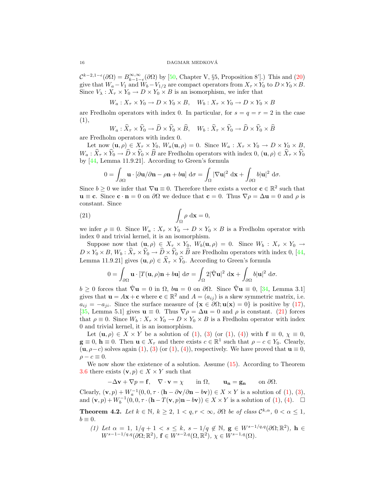$\mathcal{C}^{k-2,1-\epsilon}(\partial\Omega) = B_{k-1-\epsilon}^{\infty,\infty}(\partial\Omega)$  by [50, Chapter V, §5, Proposition 8'].) This and (20) give that  $W_a-V_1$  and  $W_b-V_{1/2}$  are compact operators from  $X_{\tau}\times Y_0$  to  $D\times Y_0\times B$ . Since  $V_{\lambda}: X_{\tau} \times Y_0 \to D \times Y_0 \times B$  is an isomorphism, we infer that

 $W_a: X_\tau \times Y_0 \to D \times Y_0 \times B$ ,  $W_b: X_\tau \times Y_0 \to D \times Y_0 \times B$ 

are Fredholm operators with index 0. In particular, for  $s = q = r = 2$  in the case (1),

$$
W_a: \widehat{X}_\tau \times \widehat{Y}_0 \to \widehat{D} \times \widehat{Y}_0 \times \widehat{B}, \quad W_b: \widehat{X}_\tau \times \widehat{Y}_0 \to \widehat{D} \times \widehat{Y}_0 \times \widehat{B}
$$

are Fredholm operators with index 0.

Let now  $(\mathbf{u}, \rho) \in X_{\tau} \times Y_0$ ,  $W_a(\mathbf{u}, \rho) = 0$ . Since  $W_a: X_{\tau} \times Y_0 \to D \times Y_0 \times B$ ,  $W_a: \hat{X}_\tau \times \hat{Y}_0 \to \hat{D} \times \hat{Y}_0 \times \hat{B}$  are Fredholm operators with index  $0, (\mathbf{u}, \rho) \in \hat{X}_\tau \times \hat{Y}_0$ by [44, Lemma 11.9.21]. According to Green's formula

$$
0 = \int_{\partial \Omega} \mathbf{u} \cdot [\partial \mathbf{u} / \partial \mathbf{n} - \rho \mathbf{n} + b \mathbf{u}] d\sigma = \int_{\Omega} |\nabla \mathbf{u}|^2 d\mathbf{x} + \int_{\partial \Omega} b |\mathbf{u}|^2 d\sigma.
$$

Since  $b \geq 0$  we infer that  $\nabla \mathbf{u} \equiv 0$ . Therefore there exists a vector  $\mathbf{c} \in \mathbb{R}^2$  such that  $u \equiv c$ . Since  $c \cdot n = 0$  on  $\partial\Omega$  we deduce that  $c = 0$ . Thus  $\nabla \rho = \Delta u = 0$  and  $\rho$  is constant. Since

(21) 
$$
\int_{\Omega} \rho \, \mathrm{d} \mathbf{x} = 0,
$$

we infer  $\rho \equiv 0$ . Since  $W_a: X_\tau \times Y_0 \to D \times Y_0 \times B$  is a Fredholm operator with index 0 and trivial kernel, it is an isomorphism.

Suppose now that  $(\mathbf{u}, \rho) \in X_{\tau} \times Y_0$ ,  $W_b(\mathbf{u}, \rho) = 0$ . Since  $W_b : X_{\tau} \times Y_0 \to Y_0$  $D \times Y_0 \times B$ ,  $W_b: \hat{X}_\tau \times \hat{Y}_0 \to \hat{D} \times \hat{Y}_0 \times \hat{B}$  are Fredholm operators with index 0, [44, Lemma 11.9.21] gives  $(\mathbf{u}, \rho) \in \widehat{X}_{\tau} \times \widehat{Y}_{0}$ . According to Green's formula

$$
0 = \int_{\partial\Omega} \mathbf{u} \cdot [T(\mathbf{u}, \rho)\mathbf{n} + b\mathbf{u}] d\sigma = \int_{\Omega} 2|\hat{\nabla}\mathbf{u}|^2 d\mathbf{x} + \int_{\partial\Omega} b|\mathbf{u}|^2 d\sigma.
$$

 $b \geq 0$  forces that  $\hat{\nabla}$ **u** = 0 in  $\Omega$ ,  $b$ **u** = 0 on  $\partial\Omega$ . Since  $\hat{\nabla}$ **u** = 0, [34, Lemma 3.1] gives that  $\mathbf{u} = A\mathbf{x} + \mathbf{c}$  where  $\mathbf{c} \in \mathbb{R}^2$  and  $A = (a_{ij})$  is a skew symmetric matrix, i.e.  $a_{ij} = -a_{ji}$ . Since the surface measure of  $\{x \in \partial\Omega; u(x) = 0\}$  is positive by (17), [35, Lemma 5.1] gives  $\mathbf{u} \equiv 0$ . Thus  $\nabla \rho = \Delta \mathbf{u} = 0$  and  $\rho$  is constant. (21) forces that  $\rho \equiv 0$ . Since  $W_b: X_\tau \times Y_0 \to D \times Y_0 \times B$  is a Fredholm operator with index 0 and trivial kernel, it is an isomorphism.

Let  $(\mathbf{u}, \rho) \in X \times Y$  be a solution of (1), (3) (or (1), (4)) with  $\mathbf{f} \equiv 0, \chi \equiv 0$ ,  $\mathbf{g} \equiv 0$ ,  $\mathbf{h} \equiv 0$ . Then  $\mathbf{u} \in X_{\tau}$  and there exists  $c \in \mathbb{R}^{1}$  such that  $\rho - c \in Y_{0}$ . Clearly,  $(\mathbf{u}, \rho - c)$  solves again (1), (3) (or (1), (4)), respectively. We have proved that  $\mathbf{u} \equiv 0$ ,  $\rho - c \equiv 0.$ 

We now show the existence of a solution. Assume  $(15)$ . According to Theorem 3.6 there exists  $(v, p) \in X \times Y$  such that

$$
-\Delta \mathbf{v} + \nabla p = \mathbf{f}, \quad \nabla \cdot \mathbf{v} = \chi \qquad \text{in } \Omega, \qquad \mathbf{u_n} = \mathbf{g_n} \qquad \text{on } \partial \Omega.
$$

Clearly,  $(\mathbf{v}, p) + W_a^{-1}(0, 0, \tau \cdot (\mathbf{h} - \partial \mathbf{v}/\partial \mathbf{n} - b\mathbf{v})) \in X \times Y$  is a solution of (1), (3), and  $(\mathbf{v}, p) + W_b^{-1}(0, 0, \tau \cdot (\mathbf{h} - T(\mathbf{v}, p)\mathbf{n} - b\mathbf{v})) \in X \times Y$  is a solution of (1), (4).  $\Box$ 

**Theorem 4.2.** Let  $k \in \mathbb{N}$ ,  $k \geq 2$ ,  $1 < q, r < \infty$ ,  $\partial\Omega$  be of class  $\mathcal{C}^{k,\alpha}$ ,  $0 < \alpha \leq 1$ ,  $b \equiv 0$ .

(1) Let  $\alpha = 1, 1/q + 1 < s \leq k$ ,  $s - 1/q \notin \mathbb{N}$ ,  $\mathbf{g} \in W^{s-1/q,q}(\partial \Omega; \mathbb{R}^2)$ ,  $\mathbf{h} \in$  $W^{s-1-1/q,q}(\partial\Omega;\mathbb{R}^2), \mathbf{f} \in W^{s-2,q}(\Omega,\mathbb{R}^2), \chi \in W^{s-1,q}(\Omega).$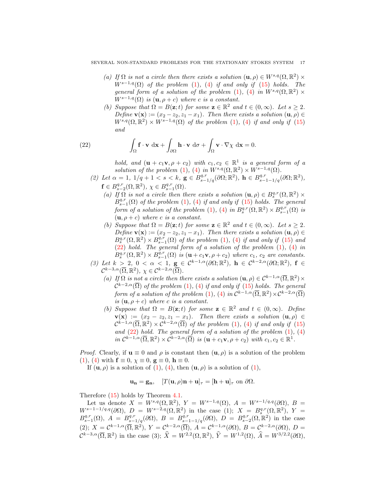- (a) If  $\Omega$  is not a circle then there exists a solution  $(\mathbf{u}, \rho) \in W^{s,q}(\Omega, \mathbb{R}^2)$  ×  $W^{s-1,q}(\Omega)$  of the problem (1), (4) if and only if (15) holds. The general form of a solution of the problem (1), (4) in  $W^{s,q}(\Omega,\mathbb{R}^2)$  ×  $W^{s-1,q}(\Omega)$  is  $(\mathbf{u}, \rho + c)$  where c is a constant.
- (b) Suppose that  $\Omega = B(\mathbf{z}; t)$  for some  $\mathbf{z} \in \mathbb{R}^2$  and  $t \in (0, \infty)$ . Let  $s \geq 2$ . Define  $\mathbf{v}(\mathbf{x}) := (x_2 - z_2, z_1 - x_1)$ . Then there exists a solution  $(\mathbf{u}, \rho) \in$  $W^{s,q}(\Omega, \mathbb{R}^2) \times W^{s-1,q}(\Omega)$  of the problem (1), (4) if and only if (15) and

$$
\int_{\Omega} \mathbf{f} \cdot \mathbf{v} \, d\mathbf{x} + \int_{\partial \Omega} \mathbf{h} \cdot \mathbf{v} \, d\sigma + \int_{\Omega} \mathbf{v} \cdot \nabla \chi \, d\mathbf{x} = 0.
$$

 $(22)$ 

hold, and  $(\mathbf{u} + c_1\mathbf{v}, \rho + c_2)$  with  $c_1, c_2 \in \mathbb{R}^1$  is a general form of a solution of the problem (1), (4) in  $W^{s,q}(\Omega,\mathbb{R}^2) \times W^{s-1,q}(\Omega)$ .

- (2) Let  $\alpha = 1, 1/q + 1 < s < k$ ,  $\mathbf{g} \in B^{q,r}_{s-1/q}(\partial \Omega; \mathbb{R}^2)$ ,  $\mathbf{h} \in B^{q,r}_{s-1-1/q}(\partial \Omega; \mathbb{R}^2)$ ,  $\mathbf{f} \in B^{q,r}_{s-2}(\Omega,\mathbb{R}^2), \ \chi \in B^{q,r}_{s-1}(\Omega).$ 
	- (a) If  $\Omega$  is not a circle then there exists a solution  $(\mathbf{u}, \rho) \in B_s^{q,r}(\Omega, \mathbb{R}^2)$  ×  $\hat{B}^{q,r}_{s-1}(\Omega)$  of the problem (1), (4) if and only if (15) holds. The general form of a solution of the problem (1), (4) in  $B_s^{q,r}(\Omega,\mathbb{R}^2) \times B_{s-1}^{q,r}(\Omega)$  is  $(\mathbf{u}, \rho + c)$  where c is a constant.
	- (b) Suppose that  $\Omega = B(\mathbf{z}; t)$  for some  $\mathbf{z} \in \mathbb{R}^2$  and  $t \in (0, \infty)$ . Let  $s \geq 2$ . Define  $\mathbf{v}(\mathbf{x}) := (x_2 - z_2, z_1 - x_1)$ . Then there exists a solution  $(\mathbf{u}, \rho) \in$  $B_s^{q,r}(\Omega,\mathbb{R}^2) \times B_{s-1}^{q,r}(\Omega)$  of the problem (1), (4) if and only if (15) and (22) hold. The general form of a solution of the problem (1), (4) in  $B_s^{q,r}(\Omega,\mathbb{R}^2) \times B_{s-1}^{\bar{q},r}(\Omega)$  is  $(\mathbf{u} + c_1\mathbf{v}, \rho + c_2)$  where  $c_1, c_2$  are constants.
- (3) Let  $k > 2$ ,  $0 < \alpha < 1$ ,  $g \in C^{k-1,\alpha}(\partial\Omega;\mathbb{R}^2)$ ,  $h \in C^{k-2,\alpha}(\partial\Omega;\mathbb{R}^2)$ ,  $f \in$  $\mathcal{C}^{k-3,\alpha}(\overline{\Omega}, \mathbb{R}^2), \ \chi \in \mathcal{C}^{k-2,\alpha}(\overline{\Omega}).$ 
	- (a) If  $\Omega$  is not a circle then there exists a solution  $(\mathbf{u}, \rho) \in C^{k-1,\alpha}(\overline{\Omega}, \mathbb{R}^2) \times$  $\mathcal{C}^{k-2,\alpha}(\overline{\Omega})$  of the problem (1), (4) if and only if (15) holds. The general form of a solution of the problem (1), (4) in  $\mathcal{C}^{k-1,\alpha}(\overline{\Omega}, \mathbb{R}^2) \times \mathcal{C}^{k-2,\alpha}(\overline{\Omega})$ is  $(\mathbf{u}, \rho + c)$  where c is a constant.
	- (b) Suppose that  $\Omega = B(\mathbf{z}; t)$  for some  $\mathbf{z} \in \mathbb{R}^2$  and  $t \in (0, \infty)$ . Define  $\mathbf{v}(\mathbf{x}) := (x_2 - z_2, z_1 - x_1)$ . Then there exists a solution  $(\mathbf{u}, \rho) \in$  $\mathcal{C}^{k-1,\alpha}(\overline{\Omega},\mathbb{R}^2) \times \mathcal{C}^{k-2,\alpha}(\overline{\Omega})$  of the problem (1), (4) if and only if (15) and  $(22)$  hold. The general form of a solution of the problem  $(1)$ ,  $(4)$  $in \mathcal{C}^{k-1,\alpha}(\overline{\Omega}, \mathbb{R}^2) \times \mathcal{C}^{k-2,\alpha}(\overline{\Omega})$  is  $(\mathbf{u} + c_1\mathbf{v}, \rho + c_2)$  with  $c_1, c_2 \in \mathbb{R}^1$ .

*Proof.* Clearly, if  $u \equiv 0$  and  $\rho$  is constant then  $(u, \rho)$  is a solution of the problem (1), (4) with  $\mathbf{f} \equiv 0$ ,  $\chi \equiv 0$ ,  $\mathbf{g} \equiv 0$ ,  $\mathbf{h} \equiv 0$ .

If  $(\mathbf{u}, \rho)$  is a solution of  $(1)$ ,  $(4)$ , then  $(\mathbf{u}, \rho)$  is a solution of  $(1)$ ,

$$
\mathbf{u}_{n} = \mathbf{g}_{n}, \quad [T(\mathbf{u}, \rho)\mathbf{n} + \mathbf{u}]_{\tau} = [\mathbf{h} + \mathbf{u}]_{\tau} \text{ on } \partial\Omega.
$$

Therefore (15) holds by Theorem 4.1.

Let us denote  $X = W^{s,q}(\Omega, \mathbb{R}^2)$ ,  $Y = W^{s-1,q}(\Omega)$ ,  $A = W^{s-1/q,q}(\partial \Omega)$ ,  $B =$  $W^{s-1-1/q,q}(\partial\Omega),\; D\;=\; W^{s-2,q}(\Omega,\mathbb{R}^2)\; \; {\rm in \;\; the \;\; case \;\;} (1);\; \; X\;=\; B_s^{q,r}(\Omega,\mathbb{R}^2),\; Y\;=\; Y_s^{q,r}(\Omega,\mathbb{R}^2).$  $B_{s-1}^{q,r}(\Omega)$ ,  $A = B_{s-1/q}^{q,r}(\partial \Omega)$ ,  $B = B_{s-1-1/q}^{q,r}(\partial \Omega)$ ,  $D = B_{s-2}^{q,r}(\Omega, \mathbb{R}^2)$  in the case (2);  $X = \mathcal{C}^{k-1,\alpha}(\overline{\Omega}, \mathbb{R}^2), Y = \mathcal{C}^{k-2,\alpha}(\overline{\Omega}), A = \mathcal{C}^{k-1,\alpha}(\partial \Omega), B = \mathcal{C}^{k-2,\alpha}(\partial \Omega), D =$  $\mathcal{C}^{k-3,\alpha}(\overline{\Omega}, \mathbb{R}^2)$  in the case (3);  $\widehat{X} = W^{2,2}(\Omega, \mathbb{R}^2)$ ,  $\widehat{Y} = W^{1,2}(\Omega)$ ,  $\widehat{A} = W^{3/2,2}(\partial \Omega)$ ,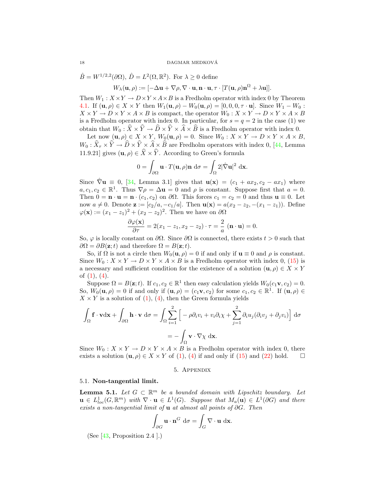$\hat{B} = W^{1/2,2}(\partial \Omega), \,\hat{D} = L^2(\Omega,\mathbb{R}^2).$  For  $\lambda \geq 0$  define  $W_{\lambda}(\mathbf{u},\rho):=[-\Delta\mathbf{u}+\nabla\rho,\nabla\cdot\mathbf{u},\mathbf{n}\cdot\mathbf{u},\tau\cdot[T(\mathbf{u},\rho)\mathbf{n}^{\Omega}+\lambda\mathbf{u}]].$ 

Then  $W_1: X \times Y \to D \times Y \times A \times B$  is a Fredholm operator with index 0 by Theorem 4.1. If  $({\bf u}, \rho) \in X \times Y$  then  $W_1({\bf u}, \rho) - W_0({\bf u}, \rho) = [0, 0, 0, \tau \cdot {\bf u}]$ . Since  $W_1 - W_0$ :  $X \times Y \to D \times Y \times A \times B$  is compact, the operator  $W_0: X \times Y \to D \times Y \times A \times B$ is a Fredholm operator with index 0. In particular, for  $s = q = 2$  in the case (1) we obtain that  $W_0 : \hat{X} \times \hat{Y} \to \hat{D} \times \hat{Y} \times \hat{A} \times \hat{B}$  is a Fredholm operator with index 0.

Let now  $(\mathbf{u}, \rho) \in X \times Y$ ,  $W_0(\mathbf{u}, \rho) = 0$ . Since  $W_0: X \times Y \to D \times Y \times A \times B$ ,  $W_0: X_\tau \times Y \to D \times Y \times A \times B$  are Fredholm operators with index 0, [44, Lemma 11.9.21] gives  $(\mathbf{u}, \rho) \in \widehat{X} \times \widehat{Y}$ . According to Green's formula

$$
0 = \int_{\partial \Omega} \mathbf{u} \cdot T(\mathbf{u}, \rho) \mathbf{n} \, d\sigma = \int_{\Omega} 2 |\hat{\nabla} \mathbf{u}|^2 \, d\mathbf{x}.
$$

Since  $\hat{\nabla}$ **u**  $\equiv$  0, [34, Lemma 3.1] gives that **u**(**x**) =  $(c_1 + ax_2, c_2 - ax_1)$  where  $a, c_1, c_2 \in \mathbb{R}^1$ . Thus  $\nabla \rho = \Delta \mathbf{u} = 0$  and  $\rho$  is constant. Suppose first that  $a = 0$ . Then  $0 = \mathbf{n} \cdot \mathbf{u} = \mathbf{n} \cdot (c_1, c_2)$  on  $\partial \Omega$ . This forces  $c_1 = c_2 = 0$  and thus  $\mathbf{u} \equiv 0$ . Let now  $a \neq 0$ . Denote  $\mathbf{z} := [c_2/a, -c_1/a]$ . Then  $\mathbf{u}(\mathbf{x}) = a(x_2 - x_2, -(x_1 - x_1))$ . Define  $\varphi(\mathbf{x}) := (x_1 - z_1)^2 + (x_2 - z_2)^2$ . Then we have on  $\partial\Omega$ 

$$
\frac{\partial \varphi(\mathbf{x})}{\partial \tau} = 2(x_1 - z_1, x_2 - z_2) \cdot \tau = \frac{2}{a} \ (\mathbf{n} \cdot \mathbf{u}) = 0.
$$

So,  $\varphi$  is locally constant on  $\partial\Omega$ . Since  $\partial\Omega$  is connected, there exists  $t > 0$  such that  $\partial\Omega = \partial B(\mathbf{z};t)$  and therefore  $\Omega = B(\mathbf{z};t)$ .

So, if  $\Omega$  is not a circle then  $W_0(\mathbf{u}, \rho) = 0$  if and only if  $\mathbf{u} \equiv 0$  and  $\rho$  is constant. Since  $W_0: X \times Y \to D \times Y \times A \times B$  is a Fredholm operator with index 0, (15) is a necessary and sufficient condition for the existence of a solution  $(\mathbf{u}, \rho) \in X \times Y$ of  $(1), (4)$ .

Suppose  $\Omega = B(\mathbf{z}; t)$ . If  $c_1, c_2 \in \mathbb{R}^1$  then easy calculation yields  $W_0(c_1\mathbf{v}, c_2) = 0$ . So,  $W_0(\mathbf{u}, \rho) = 0$  if and only if  $(\mathbf{u}, \rho) = (c_1 \mathbf{v}, c_2)$  for some  $c_1, c_2 \in \mathbb{R}^1$ . If  $(\mathbf{u}, \rho) \in$  $X \times Y$  is a solution of (1), (4), then the Green formula yields

$$
\int_{\Omega} \mathbf{f} \cdot \mathbf{v} d\mathbf{x} + \int_{\partial \Omega} \mathbf{h} \cdot \mathbf{v} d\sigma = \int_{\Omega} \sum_{i=1}^{2} \left[ -\rho \partial_{i} v_{i} + v_{i} \partial_{i} \chi + \sum_{j=1}^{2} \partial_{i} u_{j} (\partial_{i} v_{j} + \partial_{j} v_{i}) \right] d\sigma
$$

$$
= -\int_{\Omega} \mathbf{v} \cdot \nabla \chi d\mathbf{x}.
$$

Since  $W_0: X \times Y \to D \times Y \times A \times B$  is a Fredholm operator with index 0, there exists a solution  $(\mathbf{u}, \rho) \in X \times Y$  of (1), (4) if and only if (15) and (22) hold.  $\square$ 

# 5. Appendix

#### 5.1. Non-tangential limit.

**Lemma 5.1.** Let  $G \subset \mathbb{R}^m$  be a bounded domain with Lipschitz boundary. Let  $\mathbf{u} \in L^1_{loc}(G,\mathbb{R}^m)$  with  $\nabla \cdot \mathbf{u} \in L^1(G)$ . Suppose that  $M_a(\mathbf{u}) \in L^1(\partial G)$  and there exists a non-tangential limit of  $u$  at almost all points of  $\partial G$ . Then

$$
\int_{\partial G} \mathbf{u} \cdot \mathbf{n}^G \, \mathrm{d}\sigma = \int_G \nabla \cdot \mathbf{u} \, \mathrm{d}\mathbf{x}.
$$

(See [43, Proposition 2.4 ].)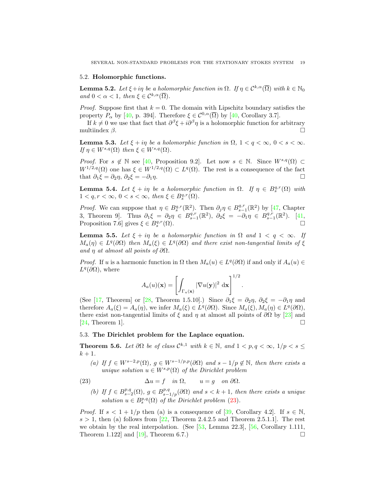# 5.2. Holomorphic functions.

**Lemma 5.2.** Let  $\xi + i\eta$  be a holomorphic function in  $\Omega$ . If  $\eta \in C^{k,\alpha}(\overline{\Omega})$  with  $k \in \mathbb{N}_0$ and  $0 < \alpha < 1$ , then  $\xi \in C^{k,\alpha}(\overline{\Omega})$ .

*Proof.* Suppose first that  $k = 0$ . The domain with Lipschitz boundary satisfies the property  $P_{\alpha}$  by [40, p. 394]. Therefore  $\xi \in C^{0,\alpha}(\overline{\Omega})$  by [40, Corollary 3.7].

If  $k \neq 0$  we use that fact that  $\partial^{\beta} \xi + i \partial^{\beta} \eta$  is a holomorphic function for arbitrary multiindex  $\beta$ .

**Lemma 5.3.** Let  $\xi + i\eta$  be a holomorphic function in  $\Omega$ ,  $1 < q < \infty$ ,  $0 < s < \infty$ . If  $\eta \in W^{s,q}(\Omega)$  then  $\xi \in W^{s,q}(\Omega)$ .

*Proof.* For  $s \notin \mathbb{N}$  see [40, Proposition 9.2]. Let now  $s \in \mathbb{N}$ . Since  $W^{s,q}(\Omega) \subset$  $W^{1/2,q}(\Omega)$  one has  $\xi \in W^{1/2,q}(\Omega) \subset L^q(\Omega)$ . The rest is a consequence of the fact that  $\partial_1 \xi = \partial_2 \eta$ ,  $\partial_2 \xi = -\partial_1 \eta$ .

**Lemma 5.4.** Let  $\xi + i\eta$  be a holomorphic function in  $\Omega$ . If  $\eta \in B_s^{q,r}(\Omega)$  with  $1 < q, r < \infty, 0 < s < \infty$ , then  $\xi \in B_s^{q,r}(\Omega)$ .

*Proof.* We can suppose that  $\eta \in B_s^{q,r}(\mathbb{R}^2)$ . Then  $\partial_j \eta \in B_{s-1}^{q,r}(\mathbb{R}^2)$  by [47, Chapter 3, Theorem 9]. Thus  $\partial_1 \xi = \partial_2 \eta \in B^{q,r}_{s-1}(\mathbb{R}^2)$ ,  $\partial_2 \xi = -\partial_1 \eta \in B^{q,r}_{s-1}(\mathbb{R}^2)$ . [41, Proposition 7.6] gives  $\xi \in B_s^{q,r}$  $(\Omega)$ .

**Lemma 5.5.** Let  $\xi + i\eta$  be a holomorphic function in  $\Omega$  and  $1 < q < \infty$ . If  $M_a(\eta) \in L^q(\partial\Omega)$  then  $M_a(\xi) \in L^q(\partial\Omega)$  and there exist non-tangential limits of  $\xi$ and  $\eta$  at almost all points of  $\partial\Omega$ .

*Proof.* If u is a harmonic function in  $\Omega$  then  $M_a(u) \in L^q(\partial\Omega)$  if and only if  $A_a(u) \in L^q(\partial\Omega)$  $L^q(\partial\Omega)$ , where

$$
A_a(u)(\mathbf{x}) = \left[ \int_{\Gamma_a(\mathbf{x})} |\nabla u(\mathbf{y})|^2 \, \mathrm{d}\mathbf{x} \right]^{1/2}.
$$

(See [17, Theorem] or [28, Theorem 1.5.10].) Since  $\partial_1 \xi = \partial_2 \eta$ ,  $\partial_2 \xi = -\partial_1 \eta$  and therefore  $A_a(\xi) = A_a(\eta)$ , we infer  $M_a(\xi) \in L^q(\partial\Omega)$ . Since  $M_a(\xi), M_a(\eta) \in L^q(\partial\Omega)$ , there exist non-tangential limits of  $\xi$  and  $\eta$  at almost all points of  $\partial\Omega$  by [23] and  $[24,$  Theorem 1.

# 5.3. The Dirichlet problem for the Laplace equation.

**Theorem 5.6.** Let  $\partial\Omega$  be of class  $\mathcal{C}^{k,1}$  with  $k \in \mathbb{N}$ , and  $1 < p, q < \infty$ ,  $1/p < s \le$  $k+1$ .

(a) If  $f \in W^{s-2,p}(\Omega)$ ,  $g \in W^{s-1/p,p}(\partial \Omega)$  and  $s-1/p \notin \mathbb{N}$ , then there exists a unique solution  $u \in W^{s,p}(\Omega)$  of the Dirichlet problem

(23) 
$$
\Delta u = f \quad in \ \Omega, \qquad u = g \quad on \ \partial \Omega.
$$

(b) If  $f \in B^{p,q}_{s-2}(\Omega)$ ,  $g \in B^{p,q}_{s-1/p}(\partial \Omega)$  and  $s < k+1$ , then there exists a unique solution  $u \in B_s^{p,q}(\Omega)$  of the Dirichlet problem (23).

*Proof.* If  $s < 1 + 1/p$  then (a) is a consequence of [39, Corollary 4.2]. If  $s \in \mathbb{N}$ ,  $s > 1$ , then (a) follows from [22, Theorem 2.4.2.5 and Theorem 2.5.1.1]. The rest we obtain by the real interpolation. (See  $[53, \text{ Lemma } 22.3]$ ,  $[56, \text{ Corollary } 1.111,$ Theorem 1.122 and [19], Theorem 6.7.)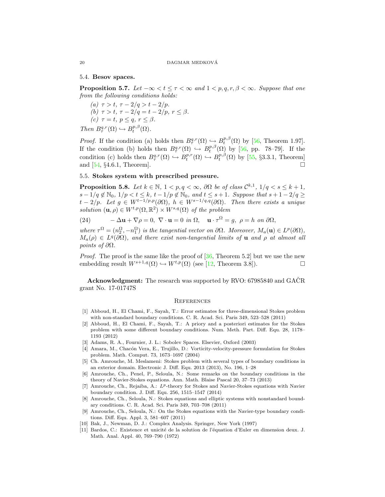## 5.4. Besov spaces.

**Proposition 5.7.** Let  $-\infty < t \leq \tau < \infty$  and  $1 < p, q, r, \beta < \infty$ . Suppose that one from the following conditions holds:

(a)  $\tau > t$ ,  $\tau - 2/q > t - 2/p$ . (b)  $\tau > t$ ,  $\tau - 2/q = t - 2/p$ ,  $r \leq \beta$ . (c)  $\tau = t, p \leq q, r \leq \beta$ . Then  $B^{q,r}_{\tau}(\Omega) \hookrightarrow B^{p,\beta}_{t}(\Omega)$ .

*Proof.* If the condition (a) holds then  $B^{q,r}_{\tau}(\Omega) \hookrightarrow B^{p,\beta}_{t}(\Omega)$  by [56, Theorem 1.97]. If the condition (b) holds then  $B^{q,r}_{\tau}(\Omega) \hookrightarrow B^{p,\beta}_{t}(\Omega)$  by [56, pp. 78–79]. If the condition (c) holds then  $B^{q,r}_{\tau}(\Omega) \hookrightarrow B^{p,r}_{t}(\Omega) \hookrightarrow B^{p,\beta}_{t}(\Omega)$  by [55, §3.3.1, Theorem] and [54, §4.6.1, Theorem].

# 5.5. Stokes system with prescribed pressure.

**Proposition 5.8.** Let  $k \in \mathbb{N}$ ,  $1 < p, q < \infty$ ,  $\partial\Omega$  be of class  $\mathcal{C}^{k,1}$ ,  $1/q < s \leq k+1$ ,  $s-1/q \notin \mathbb{N}_0, 1/p < t \leq k, t-1/p \notin \mathbb{N}_0, \text{ and } t \leq s+1.$  Suppose that  $s+1-2/q \geq$  $t-2/p$ . Let  $g \in W^{t-1/p,p}(\partial \Omega)$ ,  $h \in W^{s-1/q,q}(\partial \Omega)$ . Then there exists a unique solution  $(\mathbf{u}, \rho) \in W^{t,p}(\Omega, \mathbb{R}^2) \times W^{s,q}(\Omega)$  of the problem

(24) 
$$
-\Delta \mathbf{u} + \nabla \rho = 0, \ \nabla \cdot \mathbf{u} = 0 \text{ in } \Omega, \ \mathbf{u} \cdot \tau^{\Omega} = g, \ \rho = h \text{ on } \partial \Omega,
$$

where  $\tau^{\Omega} = (n_2^{\Omega}, -n_1^{\Omega})$  is the tangential vector on  $\partial\Omega$ . Moreover,  $M_a(\mathbf{u}) \in L^p(\partial\Omega)$ ,  $M_a(\rho) \in L^q(\partial\Omega)$ , and there exist non-tangential limits of **u** and  $\rho$  at almost all *points of*  $\partial Ω$ .

*Proof.* The proof is the same like the proof of  $[36,$  Theorem 5.2 but we use the new embedding result  $W^{s+1,q}(\Omega) \hookrightarrow W^{t,p}(\Omega)$  (see [12, Theorem 3.8]).

Acknowledgment: The research was supported by RVO: 67985840 and GACR grant No. 17-01747S

#### **REFERENCES**

- [1] Abboud, H., El Chami, F., Sayah, T.: Error estimates for three-dimensional Stokes problem with non-standard boundary conditions. C. R. Acad. Sci. Paris 349, 523–528 (2011)
- [2] Abboud, H., El Chami, F., Sayah, T.: A priory and a posteriori estimates for the Stokes problem with some different boundary conditions. Num. Meth. Part. Diff. Equ. 28, 1178– 1193 (2012)
- [3] Adams, R. A., Fournier, J. L.: Sobolev Spaces. Elsevier, Oxford (2003)
- [4] Amara, M., Chacón Vera, E., Trujillo, D.: Vorticity-velocity-pressure formulation for Stokes problem. Math. Comput. 73, 1673–1697 (2004)
- [5] Ch. Amrouche, M. Meslameni: Stokes problem with several types of boundary conditions in an exterior domain. Electronic J. Diff. Equ. 2013 (2013), No. 196, 1–28
- [6] Amrouche, Ch., Penel, P., Seloula, N.: Some remarks on the boundary conditions in the theory of Navier-Stokes equations. Ann. Math. Blaise Pascal 20, 37–73 (2013)
- [7] Amrouche, Ch., Rejaiba, A.:  $L^p$ -theory for Stokes and Navier-Stokes equations with Navier boundary condition. J. Diff. Equ. 256, 1515–1547 (2014)
- [8] Amrouche, Ch., Seloula, N.: Stokes equations and elliptic systems with nonstandard boundary conditions. C. R. Acad. Sci. Paris 349, 703–708 (2011)
- [9] Amrouche, Ch., Seloula, N.: On the Stokes equations with the Navier-type boundary conditions. Diff. Equ. Appl. 3, 581–607 (2011)
- [10] Bak, J., Newman, D. J.: Complex Analysis. Springer, New York (1997)
- [11] Bardos, C.: Existence et unicité de la solution de l'équation d'Euler en dimension deux. J. Math. Anal. Appl. 40, 769–790 (1972)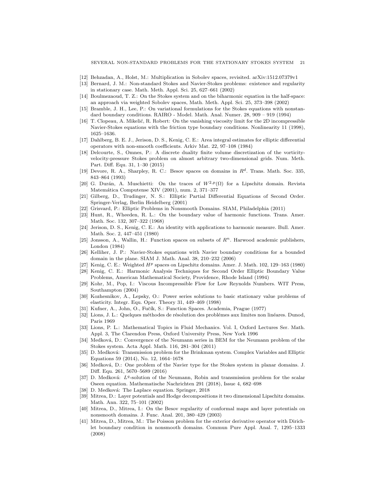- [12] Behzadan, A., Holst, M.: Multiplication in Sobolev spaces, revisited. arXiv:1512.07379v1
- [13] Bernard, J. M.: Non-standard Stokes and Navier-Stokes problems: existence and regularity in stationary case. Math. Meth. Appl. Sci. 25, 627–661 (2002)
- [14] Boulmezaoud, T. Z.: On the Stokes system and on the biharmonic equation in the half-space: an approach via weighted Sobolev spaces, Math. Meth. Appl. Sci. 25, 373–398 (2002)
- [15] Bramble, J. H., Lee, P.: On variational formulations for the Stokes equations with nonstandard boundary conditions. RAIRO - Model. Math. Anal. Numer. 28, 909 – 919 (1994)
- [16] T. Clopeau, A. Mikelić, R. Robert: On the vanishing viscosity limit for the 2D incompressible Navier-Stokes equations with the friction type boundary conditions. Nonlinearity 11 (1998), 1625–1636.
- [17] Dahlberg, B. E. J., Jerison, D. S., Kenig, C. E.: Area integral estimates for elliptic differential operators with non-smooth coefficients. Arkiv Mat. 22, 97–108 (1984)
- [18] Delcourte, S., Omnes, P.: A discrete duality finite volume discretization of the vorticityvelocity-pressure Stokes problem on almost arbitrary two-dimensional grids. Num. Meth. Part. Diff. Equ. 31, 1–30 (2015)
- [19] Devore, R. A., Sharpley, R. C.: Besov spaces on domains in  $R<sup>d</sup>$ . Trans. Math. Soc. 335, 843–864 (1993)
- [20] G. Durán, A. Muschietti: On the traces of  $W^{2,p}(\Omega)$  for a Lipschitz domain. Revista Matemática Computense XIV (2001), num. 2, 371-377
- [21] Gilberg, D., Trudinger, N. S.: Elliptic Partial Differential Equations of Second Order. Springer-Verlag, Berlin Heidelberg (2001)
- [22] Grisvard, P.: Elliptic Problems in Nonsmooth Domains. SIAM, Philadelphia (2011)
- [23] Hunt, R., Wheeden, R. L.: On the boundary value of harmonic functions. Trans. Amer. Math. Soc. 132, 307–322 (1968)
- [24] Jerison, D. S., Kenig, C. E.: An identity with applications to harmonic measure. Bull. Amer. Math. Soc. 2, 447–451 (1980)
- [25] Jonsson, A., Wallin, H.: Function spaces on subsets of  $R<sup>n</sup>$ . Harwood academic publishers, London (1984)
- [26] Kelliher, J. P.: Navier-Stokes equations with Navier boundary conditions for a bounded domain in the plane. SIAM J. Math. Anal. 38, 210–232 (2006)
- Kenig, C. E.: Weighted  $H<sup>p</sup>$  spaces on Lipschitz domains. Amer. J. Math. 102, 129–163 (1980)
- [28] Kenig, C. E.: Harmonic Analysis Techniques for Second Order Elliptic Boundary Value Problems, American Mathematical Society, Providence, Rhode Island (1994)
- [29] Kohr, M., Pop, I.: Viscous Incompressible Flow for Low Reynolds Numbers. WIT Press, Southampton (2004)
- [30] Kozhesnikov, A., Lepsky, O.: Power series solutions to basic stationary value problems of elasticity. Integr. Equ. Oper. Theory 31, 449–469 (1998)
- [31] Kufner, A., John, O., Fučík, S.: Function Spaces. Academia, Prague (1977)
- [32] Lions, J. L.: Quelques méthodes de résolution des problémes aux limites non linéares. Dunod, Paris 1969
- [33] Lions, P. L.: Mathematical Topics in Fluid Mechanics. Vol. I, Oxford Lectures Ser. Math. Appl. 3, The Clarendon Press, Oxford University Press, New York 1996
- [34] Medková, D.: Convergence of the Neumann series in BEM for the Neumann problem of the Stokes system. Acta Appl. Math. 116, 281–304 (2011)
- [35] D. Medková: Transmission problem for the Brinkman system. Complex Variables and Elliptic Equations 59 (2014), No. 12, 1664–1678
- [36] Medková, D.: One problem of the Navier type for the Stokes system in planar domains. J. Diff. Equ. 261, 5670–5689 (2016)
- [37] D. Medková:  $L<sup>q</sup>$ -solution of the Neumann, Robin and transmission problem for the scalar Oseen equation. Mathematische Nachrichten 291 (2018), Issue 4, 682–698
- [38] D. Medková: The Laplace equation. Springer, 2018
- [39] Mitrea, D.: Layer potentials and Hodge decompositions it two dimensional Lipschitz domains. Math. Ann. 322, 75–101 (2002)
- [40] Mitrea, D., Mitrea, I.: On the Besov regularity of conformal maps and layer potentials on nonsmooth domains. J. Func. Anal. 201, 380–429 (2003)
- [41] Mitrea, D., Mitrea, M.: The Poisson problem for the exterior derivative operator with Dirichlet boundary condition in nonsmooth domains. Commun Pure Appl. Anal. 7, 1295–1333 (2008)